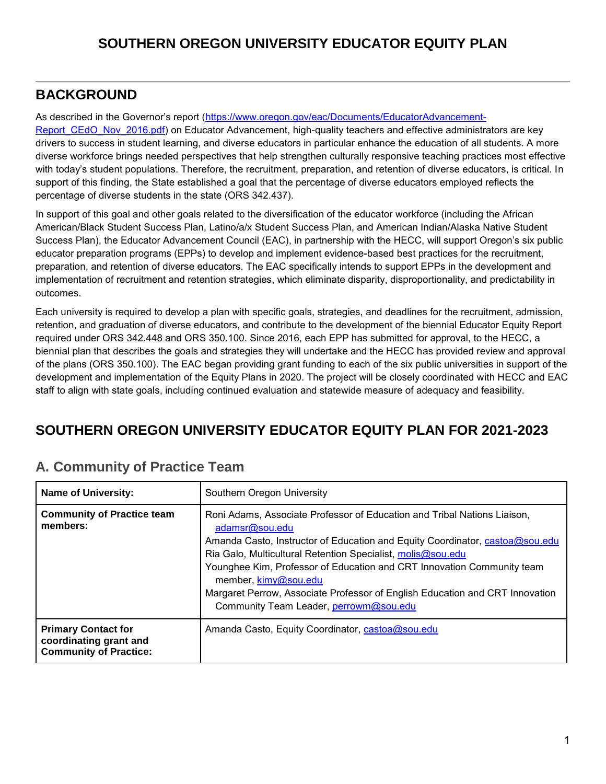# **BACKGROUND**

As described in the Governor's report [\(https://www.oregon.gov/eac/Documents/EducatorAdvancement-](https://www.oregon.gov/eac/Documents/EducatorAdvancement-Report_CEdO_Nov_2016.pdf)[Report\\_CEdO\\_Nov\\_2016.pdf\)](https://www.oregon.gov/eac/Documents/EducatorAdvancement-Report_CEdO_Nov_2016.pdf) on Educator Advancement, high-quality teachers and effective administrators are key drivers to success in student learning, and diverse educators in particular enhance the education of all students. A more diverse workforce brings needed perspectives that help strengthen culturally responsive teaching practices most effective with today's student populations. Therefore, the recruitment, preparation, and retention of diverse educators, is critical. In support of this finding, the State established a goal that the percentage of diverse educators employed reflects the percentage of diverse students in the state (ORS 342.437).

In support of this goal and other goals related to the diversification of the educator workforce (including the African American/Black Student Success Plan, Latino/a/x Student Success Plan, and American Indian/Alaska Native Student Success Plan), the Educator Advancement Council (EAC), in partnership with the HECC, will support Oregon's six public educator preparation programs (EPPs) to develop and implement evidence-based best practices for the recruitment, preparation, and retention of diverse educators. The EAC specifically intends to support EPPs in the development and implementation of recruitment and retention strategies, which eliminate disparity, disproportionality, and predictability in outcomes.

Each university is required to develop a plan with specific goals, strategies, and deadlines for the recruitment, admission, retention, and graduation of diverse educators, and contribute to the development of the biennial Educator Equity Report required under ORS 342.448 and ORS 350.100. Since 2016, each EPP has submitted for approval, to the HECC, a biennial plan that describes the goals and strategies they will undertake and the HECC has provided review and approval of the plans (ORS 350.100). The EAC began providing grant funding to each of the six public universities in support of the development and implementation of the Equity Plans in 2020. The project will be closely coordinated with HECC and EAC staff to align with state goals, including continued evaluation and statewide measure of adequacy and feasibility.

# **SOUTHERN OREGON UNIVERSITY EDUCATOR EQUITY PLAN FOR 2021-2023**

| <b>Name of University:</b>                                                            | Southern Oregon University                                                                                                                                                                                                                                                                                                                                                                                                                                            |  |  |  |
|---------------------------------------------------------------------------------------|-----------------------------------------------------------------------------------------------------------------------------------------------------------------------------------------------------------------------------------------------------------------------------------------------------------------------------------------------------------------------------------------------------------------------------------------------------------------------|--|--|--|
| <b>Community of Practice team</b><br>members:                                         | Roni Adams, Associate Professor of Education and Tribal Nations Liaison,<br>adamsr@sou.edu<br>Amanda Casto, Instructor of Education and Equity Coordinator, castoa@sou.edu<br>Ria Galo, Multicultural Retention Specialist, molis@sou.edu<br>Younghee Kim, Professor of Education and CRT Innovation Community team<br>member, kimy@sou.edu<br>Margaret Perrow, Associate Professor of English Education and CRT Innovation<br>Community Team Leader, perrowm@sou.edu |  |  |  |
| <b>Primary Contact for</b><br>coordinating grant and<br><b>Community of Practice:</b> | Amanda Casto, Equity Coordinator, castoa@sou.edu                                                                                                                                                                                                                                                                                                                                                                                                                      |  |  |  |

# **A. Community of Practice Team**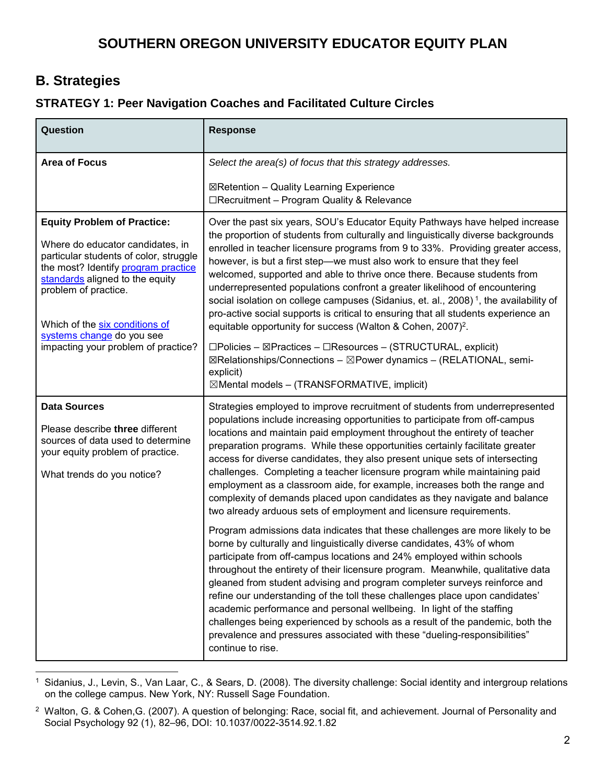## **B. Strategies**

#### **STRATEGY 1: Peer Navigation Coaches and Facilitated Culture Circles**

| Question                                                                                                                                                                                                                                                                                                                 | <b>Response</b>                                                                                                                                                                                                                                                                                                                                                                                                                                                                                                                                                                                                                                                                                                                                                                                                                                             |  |  |  |
|--------------------------------------------------------------------------------------------------------------------------------------------------------------------------------------------------------------------------------------------------------------------------------------------------------------------------|-------------------------------------------------------------------------------------------------------------------------------------------------------------------------------------------------------------------------------------------------------------------------------------------------------------------------------------------------------------------------------------------------------------------------------------------------------------------------------------------------------------------------------------------------------------------------------------------------------------------------------------------------------------------------------------------------------------------------------------------------------------------------------------------------------------------------------------------------------------|--|--|--|
| <b>Area of Focus</b>                                                                                                                                                                                                                                                                                                     | Select the area(s) of focus that this strategy addresses.                                                                                                                                                                                                                                                                                                                                                                                                                                                                                                                                                                                                                                                                                                                                                                                                   |  |  |  |
|                                                                                                                                                                                                                                                                                                                          | ⊠Retention - Quality Learning Experience<br>□Recruitment - Program Quality & Relevance                                                                                                                                                                                                                                                                                                                                                                                                                                                                                                                                                                                                                                                                                                                                                                      |  |  |  |
| <b>Equity Problem of Practice:</b><br>Where do educator candidates, in<br>particular students of color, struggle<br>the most? Identify program practice<br>standards aligned to the equity<br>problem of practice.<br>Which of the six conditions of<br>systems change do you see<br>impacting your problem of practice? | Over the past six years, SOU's Educator Equity Pathways have helped increase<br>the proportion of students from culturally and linguistically diverse backgrounds<br>enrolled in teacher licensure programs from 9 to 33%. Providing greater access,<br>however, is but a first step--we must also work to ensure that they feel<br>welcomed, supported and able to thrive once there. Because students from<br>underrepresented populations confront a greater likelihood of encountering<br>social isolation on college campuses (Sidanius, et. al., 2008) <sup>1</sup> , the availability of<br>pro-active social supports is critical to ensuring that all students experience an<br>equitable opportunity for success (Walton & Cohen, 2007) <sup>2</sup> .<br>$\square$ Policies – $\square$ Practices – $\square$ Resources – (STRUCTURAL, explicit) |  |  |  |
|                                                                                                                                                                                                                                                                                                                          | ⊠Relationships/Connections - ⊠Power dynamics - (RELATIONAL, semi-<br>explicit)<br>$\boxtimes$ Mental models – (TRANSFORMATIVE, implicit)                                                                                                                                                                                                                                                                                                                                                                                                                                                                                                                                                                                                                                                                                                                    |  |  |  |
| <b>Data Sources</b><br>Please describe three different<br>sources of data used to determine<br>your equity problem of practice.<br>What trends do you notice?                                                                                                                                                            | Strategies employed to improve recruitment of students from underrepresented<br>populations include increasing opportunities to participate from off-campus<br>locations and maintain paid employment throughout the entirety of teacher<br>preparation programs. While these opportunities certainly facilitate greater<br>access for diverse candidates, they also present unique sets of intersecting<br>challenges. Completing a teacher licensure program while maintaining paid<br>employment as a classroom aide, for example, increases both the range and<br>complexity of demands placed upon candidates as they navigate and balance<br>two already arduous sets of employment and licensure requirements.                                                                                                                                       |  |  |  |
|                                                                                                                                                                                                                                                                                                                          | Program admissions data indicates that these challenges are more likely to be<br>borne by culturally and linguistically diverse candidates, 43% of whom<br>participate from off-campus locations and 24% employed within schools<br>throughout the entirety of their licensure program. Meanwhile, qualitative data<br>gleaned from student advising and program completer surveys reinforce and<br>refine our understanding of the toll these challenges place upon candidates'<br>academic performance and personal wellbeing. In light of the staffing<br>challenges being experienced by schools as a result of the pandemic, both the<br>prevalence and pressures associated with these "dueling-responsibilities"<br>continue to rise.                                                                                                                |  |  |  |

 $\ddot{\phantom{a}}$ 1 Sidanius, J., Levin, S., Van Laar, C., & Sears, D. (2008). The diversity challenge: Social identity and intergroup relations on the college campus. New York, NY: Russell Sage Foundation.

<sup>2</sup> Walton, G. & Cohen,G. (2007). A question of belonging: Race, social fit, and achievement. Journal of Personality and Social Psychology 92 (1), 82–96, DOI: 10.1037/0022-3514.92.1.82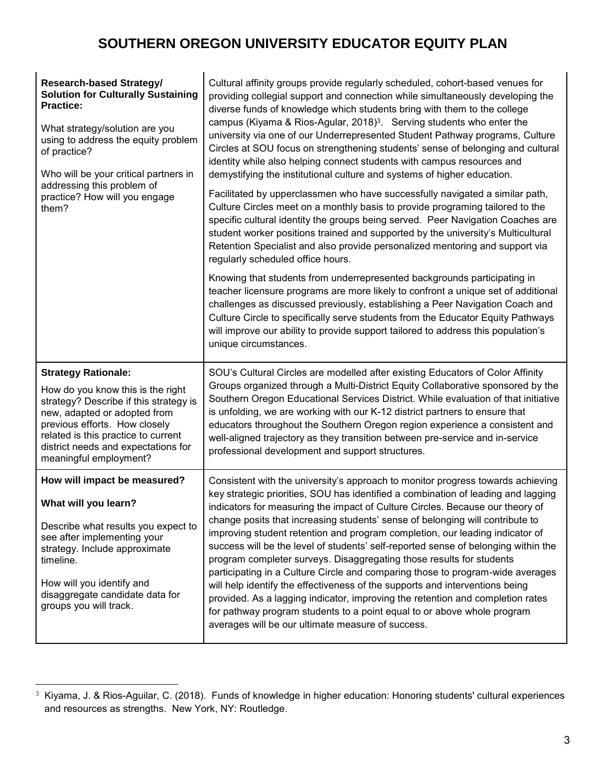| <b>Research-based Strategy/</b><br><b>Solution for Culturally Sustaining</b><br><b>Practice:</b><br>What strategy/solution are you<br>using to address the equity problem<br>of practice?<br>Who will be your critical partners in<br>addressing this problem of<br>practice? How will you engage<br>them? | Cultural affinity groups provide regularly scheduled, cohort-based venues for<br>providing collegial support and connection while simultaneously developing the<br>diverse funds of knowledge which students bring with them to the college<br>campus (Kiyama & Rios-Agular, 2018) <sup>3</sup> . Serving students who enter the<br>university via one of our Underrepresented Student Pathway programs, Culture<br>Circles at SOU focus on strengthening students' sense of belonging and cultural<br>identity while also helping connect students with campus resources and<br>demystifying the institutional culture and systems of higher education.<br>Facilitated by upperclassmen who have successfully navigated a similar path,<br>Culture Circles meet on a monthly basis to provide programing tailored to the<br>specific cultural identity the groups being served. Peer Navigation Coaches are<br>student worker positions trained and supported by the university's Multicultural<br>Retention Specialist and also provide personalized mentoring and support via<br>regularly scheduled office hours.<br>Knowing that students from underrepresented backgrounds participating in<br>teacher licensure programs are more likely to confront a unique set of additional<br>challenges as discussed previously, establishing a Peer Navigation Coach and<br>Culture Circle to specifically serve students from the Educator Equity Pathways<br>will improve our ability to provide support tailored to address this population's<br>unique circumstances. |
|------------------------------------------------------------------------------------------------------------------------------------------------------------------------------------------------------------------------------------------------------------------------------------------------------------|-------------------------------------------------------------------------------------------------------------------------------------------------------------------------------------------------------------------------------------------------------------------------------------------------------------------------------------------------------------------------------------------------------------------------------------------------------------------------------------------------------------------------------------------------------------------------------------------------------------------------------------------------------------------------------------------------------------------------------------------------------------------------------------------------------------------------------------------------------------------------------------------------------------------------------------------------------------------------------------------------------------------------------------------------------------------------------------------------------------------------------------------------------------------------------------------------------------------------------------------------------------------------------------------------------------------------------------------------------------------------------------------------------------------------------------------------------------------------------------------------------------------------------------------------------------------------|
| <b>Strategy Rationale:</b><br>How do you know this is the right<br>strategy? Describe if this strategy is<br>new, adapted or adopted from<br>previous efforts. How closely<br>related is this practice to current<br>district needs and expectations for<br>meaningful employment?                         | SOU's Cultural Circles are modelled after existing Educators of Color Affinity<br>Groups organized through a Multi-District Equity Collaborative sponsored by the<br>Southern Oregon Educational Services District. While evaluation of that initiative<br>is unfolding, we are working with our K-12 district partners to ensure that<br>educators throughout the Southern Oregon region experience a consistent and<br>well-aligned trajectory as they transition between pre-service and in-service<br>professional development and support structures.                                                                                                                                                                                                                                                                                                                                                                                                                                                                                                                                                                                                                                                                                                                                                                                                                                                                                                                                                                                                              |
| How will impact be measured?<br>What will you learn?<br>Describe what results you expect to<br>see after implementing your<br>strategy. Include approximate<br>timeline.<br>How will you identify and<br>disaggregate candidate data for<br>groups you will track.                                         | Consistent with the university's approach to monitor progress towards achieving<br>key strategic priorities, SOU has identified a combination of leading and lagging<br>indicators for measuring the impact of Culture Circles. Because our theory of<br>change posits that increasing students' sense of belonging will contribute to<br>improving student retention and program completion, our leading indicator of<br>success will be the level of students' self-reported sense of belonging within the<br>program completer surveys. Disaggregating those results for students<br>participating in a Culture Circle and comparing those to program-wide averages<br>will help identify the effectiveness of the supports and interventions being<br>provided. As a lagging indicator, improving the retention and completion rates<br>for pathway program students to a point equal to or above whole program<br>averages will be our ultimate measure of success.                                                                                                                                                                                                                                                                                                                                                                                                                                                                                                                                                                                                |

 3 Kiyama, J. & Rios-Aguilar, C. (2018). Funds of knowledge in higher education: Honoring students' cultural experiences and resources as strengths. New York, NY: Routledge.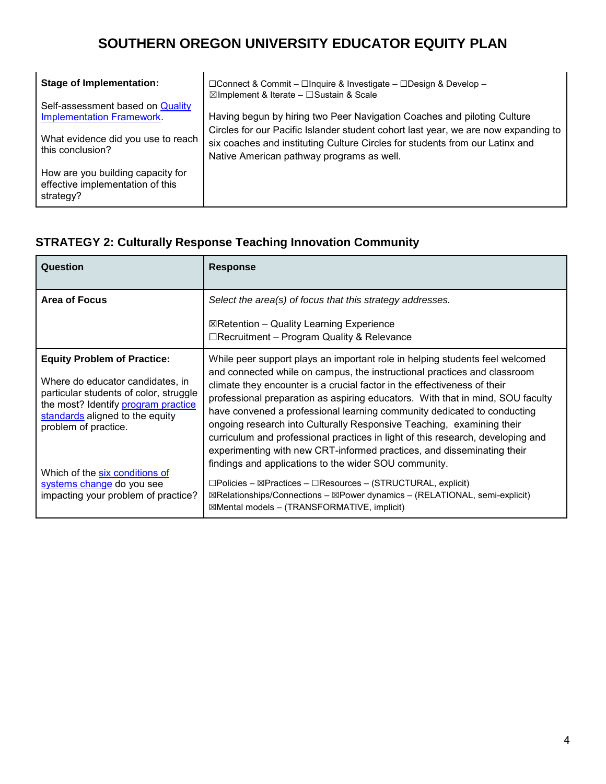| <b>Stage of Implementation:</b>                                                    | □Connect & Commit – □Inquire & Investigate – □Design & Develop –<br>$\boxtimes$ Implement & Iterate - $\Box$ Sustain & Scale                                                                                    |  |  |  |  |
|------------------------------------------------------------------------------------|-----------------------------------------------------------------------------------------------------------------------------------------------------------------------------------------------------------------|--|--|--|--|
| Self-assessment based on Quality<br><b>Implementation Framework.</b>               | Having begun by hiring two Peer Navigation Coaches and piloting Culture                                                                                                                                         |  |  |  |  |
| What evidence did you use to reach<br>this conclusion?                             | Circles for our Pacific Islander student cohort last year, we are now expanding to<br>six coaches and instituting Culture Circles for students from our Latinx and<br>Native American pathway programs as well. |  |  |  |  |
| How are you building capacity for<br>effective implementation of this<br>strategy? |                                                                                                                                                                                                                 |  |  |  |  |

# **STRATEGY 2: Culturally Response Teaching Innovation Community**

| Question                                                                                                                                                                                                           | <b>Response</b>                                                                                                                                                                                                                                                                                                                                                                                                                                                                                                                                                                                                                         |
|--------------------------------------------------------------------------------------------------------------------------------------------------------------------------------------------------------------------|-----------------------------------------------------------------------------------------------------------------------------------------------------------------------------------------------------------------------------------------------------------------------------------------------------------------------------------------------------------------------------------------------------------------------------------------------------------------------------------------------------------------------------------------------------------------------------------------------------------------------------------------|
| <b>Area of Focus</b>                                                                                                                                                                                               | Select the area(s) of focus that this strategy addresses.<br>$\boxtimes$ Retention – Quality Learning Experience<br>$\Box$ Recruitment – Program Quality & Relevance                                                                                                                                                                                                                                                                                                                                                                                                                                                                    |
| <b>Equity Problem of Practice:</b><br>Where do educator candidates, in<br>particular students of color, struggle<br>the most? Identify program practice<br>standards aligned to the equity<br>problem of practice. | While peer support plays an important role in helping students feel welcomed<br>and connected while on campus, the instructional practices and classroom<br>climate they encounter is a crucial factor in the effectiveness of their<br>professional preparation as aspiring educators. With that in mind, SOU faculty<br>have convened a professional learning community dedicated to conducting<br>ongoing research into Culturally Responsive Teaching, examining their<br>curriculum and professional practices in light of this research, developing and<br>experimenting with new CRT-informed practices, and disseminating their |
| Which of the six conditions of<br>systems change do you see<br>impacting your problem of practice?                                                                                                                 | findings and applications to the wider SOU community.<br>$\square$ Policies – $\square$ Practices – $\square$ Resources – (STRUCTURAL, explicit)<br>⊠Relationships/Connections – ⊠Power dynamics – (RELATIONAL, semi-explicit)<br>⊠Mental models – (TRANSFORMATIVE, implicit)                                                                                                                                                                                                                                                                                                                                                           |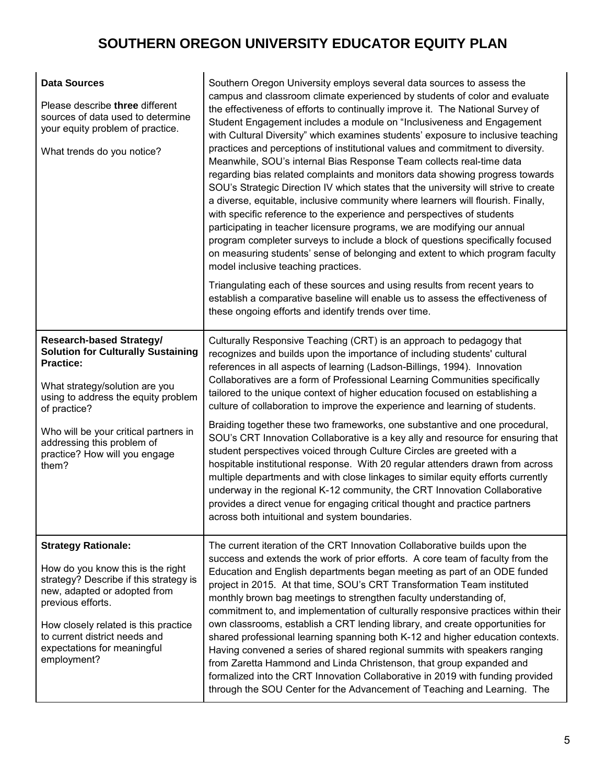| <b>Data Sources</b><br>Please describe three different<br>sources of data used to determine<br>your equity problem of practice.<br>What trends do you notice?                                                                                                                                              | Southern Oregon University employs several data sources to assess the<br>campus and classroom climate experienced by students of color and evaluate<br>the effectiveness of efforts to continually improve it. The National Survey of<br>Student Engagement includes a module on "Inclusiveness and Engagement<br>with Cultural Diversity" which examines students' exposure to inclusive teaching<br>practices and perceptions of institutional values and commitment to diversity.<br>Meanwhile, SOU's internal Bias Response Team collects real-time data<br>regarding bias related complaints and monitors data showing progress towards<br>SOU's Strategic Direction IV which states that the university will strive to create<br>a diverse, equitable, inclusive community where learners will flourish. Finally,<br>with specific reference to the experience and perspectives of students<br>participating in teacher licensure programs, we are modifying our annual<br>program completer surveys to include a block of questions specifically focused<br>on measuring students' sense of belonging and extent to which program faculty<br>model inclusive teaching practices.<br>Triangulating each of these sources and using results from recent years to<br>establish a comparative baseline will enable us to assess the effectiveness of<br>these ongoing efforts and identify trends over time. |
|------------------------------------------------------------------------------------------------------------------------------------------------------------------------------------------------------------------------------------------------------------------------------------------------------------|-----------------------------------------------------------------------------------------------------------------------------------------------------------------------------------------------------------------------------------------------------------------------------------------------------------------------------------------------------------------------------------------------------------------------------------------------------------------------------------------------------------------------------------------------------------------------------------------------------------------------------------------------------------------------------------------------------------------------------------------------------------------------------------------------------------------------------------------------------------------------------------------------------------------------------------------------------------------------------------------------------------------------------------------------------------------------------------------------------------------------------------------------------------------------------------------------------------------------------------------------------------------------------------------------------------------------------------------------------------------------------------------------------------------|
| <b>Research-based Strategy/</b><br><b>Solution for Culturally Sustaining</b><br><b>Practice:</b><br>What strategy/solution are you<br>using to address the equity problem<br>of practice?<br>Who will be your critical partners in<br>addressing this problem of<br>practice? How will you engage<br>them? | Culturally Responsive Teaching (CRT) is an approach to pedagogy that<br>recognizes and builds upon the importance of including students' cultural<br>references in all aspects of learning (Ladson-Billings, 1994). Innovation<br>Collaboratives are a form of Professional Learning Communities specifically<br>tailored to the unique context of higher education focused on establishing a<br>culture of collaboration to improve the experience and learning of students.<br>Braiding together these two frameworks, one substantive and one procedural,<br>SOU's CRT Innovation Collaborative is a key ally and resource for ensuring that<br>student perspectives voiced through Culture Circles are greeted with a<br>hospitable institutional response. With 20 regular attenders drawn from across<br>multiple departments and with close linkages to similar equity efforts currently<br>underway in the regional K-12 community, the CRT Innovation Collaborative<br>provides a direct venue for engaging critical thought and practice partners<br>across both intuitional and system boundaries.                                                                                                                                                                                                                                                                                                   |
| <b>Strategy Rationale:</b><br>How do you know this is the right<br>strategy? Describe if this strategy is<br>new, adapted or adopted from<br>previous efforts.<br>How closely related is this practice<br>to current district needs and<br>expectations for meaningful<br>employment?                      | The current iteration of the CRT Innovation Collaborative builds upon the<br>success and extends the work of prior efforts. A core team of faculty from the<br>Education and English departments began meeting as part of an ODE funded<br>project in 2015. At that time, SOU's CRT Transformation Team instituted<br>monthly brown bag meetings to strengthen faculty understanding of,<br>commitment to, and implementation of culturally responsive practices within their<br>own classrooms, establish a CRT lending library, and create opportunities for<br>shared professional learning spanning both K-12 and higher education contexts.<br>Having convened a series of shared regional summits with speakers ranging<br>from Zaretta Hammond and Linda Christenson, that group expanded and<br>formalized into the CRT Innovation Collaborative in 2019 with funding provided<br>through the SOU Center for the Advancement of Teaching and Learning. The                                                                                                                                                                                                                                                                                                                                                                                                                                              |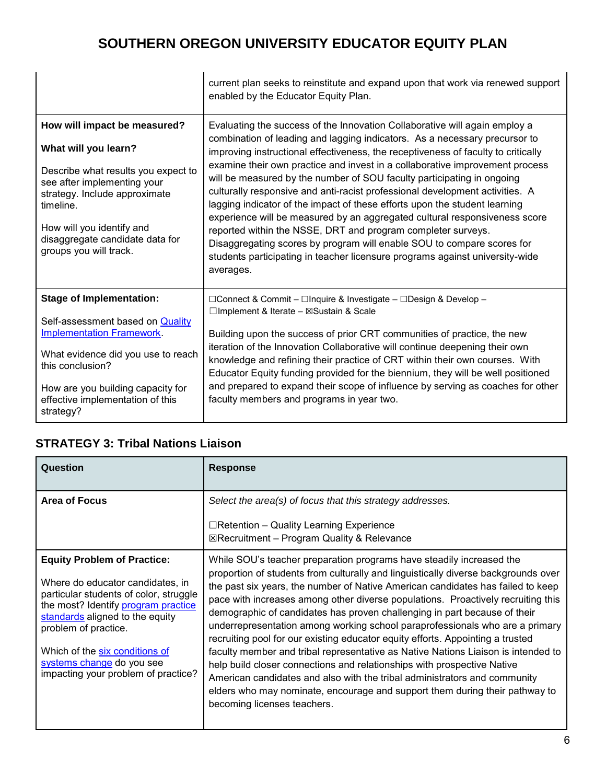|                                                                                                                                                                                                                                                                    | current plan seeks to reinstitute and expand upon that work via renewed support<br>enabled by the Educator Equity Plan.                                                                                                                                                                                                                                                                                                                                                                                                                                                                                                                                                                                                                                                                                                                                                                    |
|--------------------------------------------------------------------------------------------------------------------------------------------------------------------------------------------------------------------------------------------------------------------|--------------------------------------------------------------------------------------------------------------------------------------------------------------------------------------------------------------------------------------------------------------------------------------------------------------------------------------------------------------------------------------------------------------------------------------------------------------------------------------------------------------------------------------------------------------------------------------------------------------------------------------------------------------------------------------------------------------------------------------------------------------------------------------------------------------------------------------------------------------------------------------------|
| How will impact be measured?<br>What will you learn?<br>Describe what results you expect to<br>see after implementing your<br>strategy. Include approximate<br>timeline.<br>How will you identify and<br>disaggregate candidate data for<br>groups you will track. | Evaluating the success of the Innovation Collaborative will again employ a<br>combination of leading and lagging indicators. As a necessary precursor to<br>improving instructional effectiveness, the receptiveness of faculty to critically<br>examine their own practice and invest in a collaborative improvement process<br>will be measured by the number of SOU faculty participating in ongoing<br>culturally responsive and anti-racist professional development activities. A<br>lagging indicator of the impact of these efforts upon the student learning<br>experience will be measured by an aggregated cultural responsiveness score<br>reported within the NSSE, DRT and program completer surveys.<br>Disaggregating scores by program will enable SOU to compare scores for<br>students participating in teacher licensure programs against university-wide<br>averages. |
| <b>Stage of Implementation:</b><br>Self-assessment based on Quality<br><b>Implementation Framework.</b><br>What evidence did you use to reach<br>this conclusion?<br>How are you building capacity for<br>effective implementation of this<br>strategy?            | □Connect & Commit – □Inquire & Investigate – □Design & Develop –<br>□Implement & Iterate - ⊠Sustain & Scale<br>Building upon the success of prior CRT communities of practice, the new<br>iteration of the Innovation Collaborative will continue deepening their own<br>knowledge and refining their practice of CRT within their own courses. With<br>Educator Equity funding provided for the biennium, they will be well positioned<br>and prepared to expand their scope of influence by serving as coaches for other<br>faculty members and programs in year two.                                                                                                                                                                                                                                                                                                                    |

#### **STRATEGY 3: Tribal Nations Liaison**

| Question                                                                                                                                                                                                                                                                                                                 | <b>Response</b>                                                                                                                                                                                                                                                                                                                                                                                                                                                                                                                                                                                                                                                                                                                                                                                                                                                                                                                             |  |  |
|--------------------------------------------------------------------------------------------------------------------------------------------------------------------------------------------------------------------------------------------------------------------------------------------------------------------------|---------------------------------------------------------------------------------------------------------------------------------------------------------------------------------------------------------------------------------------------------------------------------------------------------------------------------------------------------------------------------------------------------------------------------------------------------------------------------------------------------------------------------------------------------------------------------------------------------------------------------------------------------------------------------------------------------------------------------------------------------------------------------------------------------------------------------------------------------------------------------------------------------------------------------------------------|--|--|
| <b>Area of Focus</b>                                                                                                                                                                                                                                                                                                     | Select the area(s) of focus that this strategy addresses.<br>$\Box$ Retention – Quality Learning Experience<br>⊠Recruitment – Program Quality & Relevance                                                                                                                                                                                                                                                                                                                                                                                                                                                                                                                                                                                                                                                                                                                                                                                   |  |  |
| <b>Equity Problem of Practice:</b><br>Where do educator candidates, in<br>particular students of color, struggle<br>the most? Identify program practice<br>standards aligned to the equity<br>problem of practice.<br>Which of the six conditions of<br>systems change do you see<br>impacting your problem of practice? | While SOU's teacher preparation programs have steadily increased the<br>proportion of students from culturally and linguistically diverse backgrounds over<br>the past six years, the number of Native American candidates has failed to keep<br>pace with increases among other diverse populations. Proactively recruiting this<br>demographic of candidates has proven challenging in part because of their<br>underrepresentation among working school paraprofessionals who are a primary<br>recruiting pool for our existing educator equity efforts. Appointing a trusted<br>faculty member and tribal representative as Native Nations Liaison is intended to<br>help build closer connections and relationships with prospective Native<br>American candidates and also with the tribal administrators and community<br>elders who may nominate, encourage and support them during their pathway to<br>becoming licenses teachers. |  |  |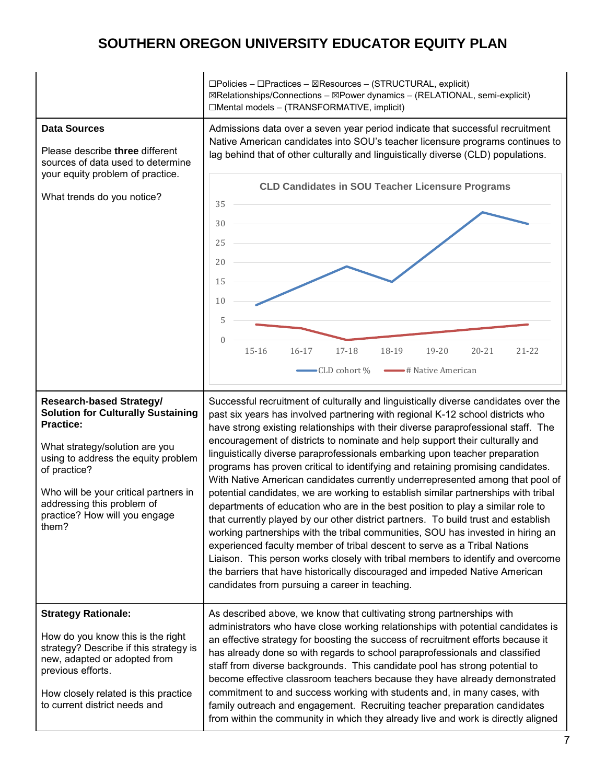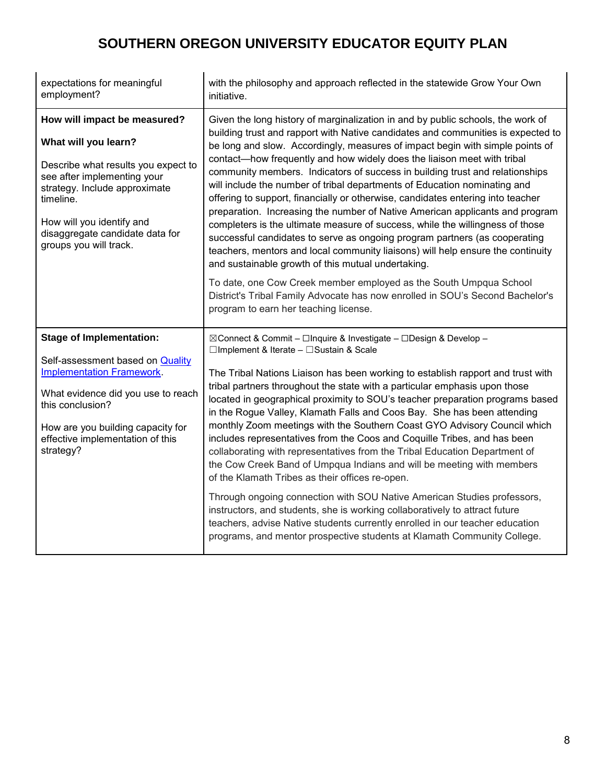| expectations for meaningful<br>employment?                                                                                                                                                                                                                         | with the philosophy and approach reflected in the statewide Grow Your Own<br>initiative.                                                                                                                                                                                                                                                                                                                                                                                                                                                                                                                                                                                                                                                                                                                                                                                                                                                                                                                                                                                                                                        |  |  |  |
|--------------------------------------------------------------------------------------------------------------------------------------------------------------------------------------------------------------------------------------------------------------------|---------------------------------------------------------------------------------------------------------------------------------------------------------------------------------------------------------------------------------------------------------------------------------------------------------------------------------------------------------------------------------------------------------------------------------------------------------------------------------------------------------------------------------------------------------------------------------------------------------------------------------------------------------------------------------------------------------------------------------------------------------------------------------------------------------------------------------------------------------------------------------------------------------------------------------------------------------------------------------------------------------------------------------------------------------------------------------------------------------------------------------|--|--|--|
| How will impact be measured?<br>What will you learn?<br>Describe what results you expect to<br>see after implementing your<br>strategy. Include approximate<br>timeline.<br>How will you identify and<br>disaggregate candidate data for<br>groups you will track. | Given the long history of marginalization in and by public schools, the work of<br>building trust and rapport with Native candidates and communities is expected to<br>be long and slow. Accordingly, measures of impact begin with simple points of<br>contact-how frequently and how widely does the liaison meet with tribal<br>community members. Indicators of success in building trust and relationships<br>will include the number of tribal departments of Education nominating and<br>offering to support, financially or otherwise, candidates entering into teacher<br>preparation. Increasing the number of Native American applicants and program<br>completers is the ultimate measure of success, while the willingness of those<br>successful candidates to serve as ongoing program partners (as cooperating<br>teachers, mentors and local community liaisons) will help ensure the continuity<br>and sustainable growth of this mutual undertaking.                                                                                                                                                         |  |  |  |
|                                                                                                                                                                                                                                                                    | To date, one Cow Creek member employed as the South Umpqua School<br>District's Tribal Family Advocate has now enrolled in SOU's Second Bachelor's<br>program to earn her teaching license.                                                                                                                                                                                                                                                                                                                                                                                                                                                                                                                                                                                                                                                                                                                                                                                                                                                                                                                                     |  |  |  |
| <b>Stage of Implementation:</b><br>Self-assessment based on Quality<br><b>Implementation Framework.</b><br>What evidence did you use to reach<br>this conclusion?<br>How are you building capacity for<br>effective implementation of this<br>strategy?            | ⊠Connect & Commit - Olnquire & Investigate - ODesign & Develop -<br>□Implement & Iterate - □Sustain & Scale<br>The Tribal Nations Liaison has been working to establish rapport and trust with<br>tribal partners throughout the state with a particular emphasis upon those<br>located in geographical proximity to SOU's teacher preparation programs based<br>in the Rogue Valley, Klamath Falls and Coos Bay. She has been attending<br>monthly Zoom meetings with the Southern Coast GYO Advisory Council which<br>includes representatives from the Coos and Coquille Tribes, and has been<br>collaborating with representatives from the Tribal Education Department of<br>the Cow Creek Band of Umpqua Indians and will be meeting with members<br>of the Klamath Tribes as their offices re-open.<br>Through ongoing connection with SOU Native American Studies professors,<br>instructors, and students, she is working collaboratively to attract future<br>teachers, advise Native students currently enrolled in our teacher education<br>programs, and mentor prospective students at Klamath Community College. |  |  |  |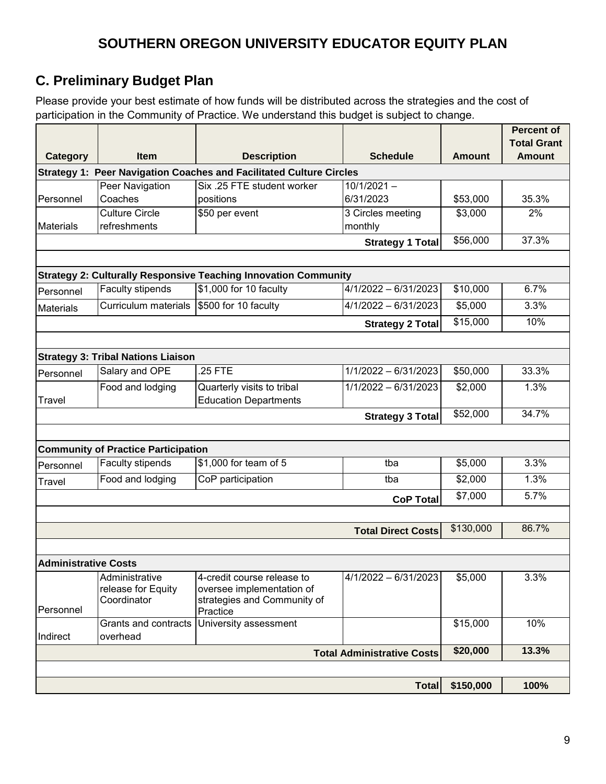# **C. Preliminary Budget Plan**

Please provide your best estimate of how funds will be distributed across the strategies and the cost of participation in the Community of Practice. We understand this budget is subject to change.

|                             |                                            |                                                                                                  |                                   |               | <b>Percent of</b><br><b>Total Grant</b> |
|-----------------------------|--------------------------------------------|--------------------------------------------------------------------------------------------------|-----------------------------------|---------------|-----------------------------------------|
| <b>Category</b>             | <b>Item</b>                                | <b>Description</b>                                                                               | <b>Amount</b>                     | <b>Amount</b> |                                         |
|                             |                                            | <b>Strategy 1: Peer Navigation Coaches and Facilitated Culture Circles</b>                       |                                   |               |                                         |
|                             | Peer Navigation                            | Six .25 FTE student worker<br>$10/1/2021 -$                                                      |                                   |               |                                         |
| Personnel                   | Coaches                                    | positions                                                                                        | 6/31/2023                         | \$53,000      | 35.3%                                   |
|                             | <b>Culture Circle</b>                      | \$50 per event                                                                                   | 3 Circles meeting                 | \$3,000       | 2%                                      |
| <b>Materials</b>            | refreshments                               |                                                                                                  | monthly                           | \$56,000      | 37.3%                                   |
|                             |                                            |                                                                                                  | <b>Strategy 1 Total</b>           |               |                                         |
|                             |                                            |                                                                                                  |                                   |               |                                         |
| Personnel                   | Faculty stipends                           | <b>Strategy 2: Culturally Responsive Teaching Innovation Community</b><br>\$1,000 for 10 faculty | $4/1/2022 - 6/31/2023$            | \$10,000      | 6.7%                                    |
|                             | Curriculum materials                       | \$500 for 10 faculty                                                                             | $4/1/2022 - 6/31/2023$            | \$5,000       | 3.3%                                    |
| <b>Materials</b>            |                                            |                                                                                                  | <b>Strategy 2 Total</b>           | \$15,000      | 10%                                     |
|                             |                                            |                                                                                                  |                                   |               |                                         |
|                             | <b>Strategy 3: Tribal Nations Liaison</b>  |                                                                                                  |                                   |               |                                         |
| Personnel                   | Salary and OPE                             | .25 FTE                                                                                          | $1/1/2022 - 6/31/2023$            | \$50,000      | 33.3%                                   |
|                             | Food and lodging                           | Quarterly visits to tribal<br>$1/1/2022 - 6/31/2023$                                             |                                   | \$2,000       | 1.3%                                    |
| Travel                      |                                            | <b>Education Departments</b>                                                                     |                                   |               |                                         |
|                             |                                            |                                                                                                  | Strategy 3 Total                  | \$52,000      | 34.7%                                   |
|                             |                                            |                                                                                                  |                                   |               |                                         |
|                             | <b>Community of Practice Participation</b> |                                                                                                  |                                   |               |                                         |
| Personnel                   | Faculty stipends                           | \$1,000 for team of 5                                                                            | tba<br>tba                        | \$5,000       | 3.3%                                    |
| Travel                      | Food and lodging                           | CoP participation                                                                                | \$2,000                           | 1.3%          |                                         |
|                             |                                            |                                                                                                  | <b>CoP Total</b>                  | \$7,000       | 5.7%                                    |
|                             |                                            |                                                                                                  |                                   |               |                                         |
|                             |                                            |                                                                                                  | <b>Total Direct Costs</b>         | \$130,000     | 86.7%                                   |
|                             |                                            |                                                                                                  |                                   |               |                                         |
| <b>Administrative Costs</b> |                                            |                                                                                                  |                                   |               |                                         |
|                             | Administrative<br>release for Equity       | 4-credit course release to<br>oversee implementation of                                          | $4/1/2022 - 6/31/2023$            | \$5,000       | 3.3%                                    |
|                             | Coordinator                                | strategies and Community of                                                                      |                                   |               |                                         |
| Personnel                   |                                            | Practice<br>University assessment                                                                |                                   |               | 10%                                     |
| Indirect                    | Grants and contracts<br>overhead           |                                                                                                  |                                   | \$15,000      |                                         |
|                             |                                            |                                                                                                  | <b>Total Administrative Costs</b> | \$20,000      | 13.3%                                   |
|                             |                                            |                                                                                                  |                                   |               |                                         |
|                             |                                            |                                                                                                  | <b>Total</b>                      | \$150,000     | 100%                                    |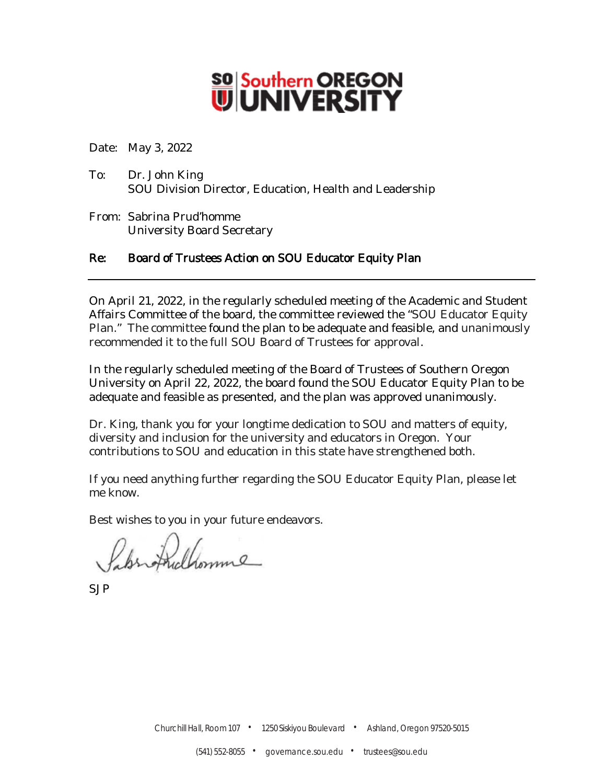# **SO** Southern OREGON

Date: May 3, 2022

- To: Dr. John King SOU Division Director, Education, Health and Leadership
- From: Sabrina Prud'homme University Board Secretary

#### Re: Board of Trustees Action on SOU Educator Equity Plan

On April 21, 2022, in the regularly scheduled meeting of the Academic and Student Affairs Committee of the board, the committee reviewed the "SOU Educator Equity Plan." The committee found the plan to be adequate and feasible, and unanimously recommended it to the full SOU Board of Trustees for approval.

In the regularly scheduled meeting of the Board of Trustees of Southern Oregon University on April 22, 2022, the board found the SOU Educator Equity Plan to be adequate and feasible as presented, and the plan was approved unanimously.

Dr. King, thank you for your longtime dedication to SOU and matters of equity, diversity and inclusion for the university and educators in Oregon. Your contributions to SOU and education in this state have strengthened both.

If you need anything further regarding the SOU Educator Equity Plan, please let me know.

Best wishes to you in your future endeavors.

Shriffullomme

SJP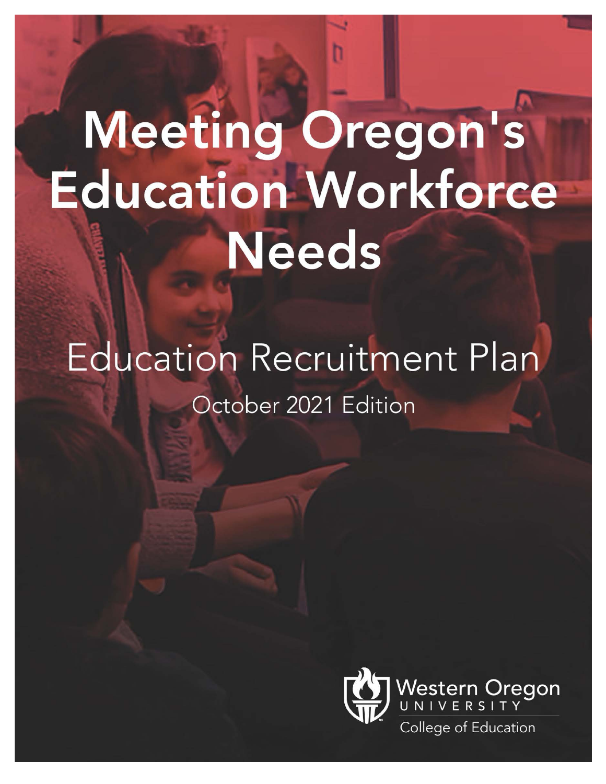# Meeting Oregon's **Education Workforce Needs**

# Education Recruitment Plan October 2021 Edition

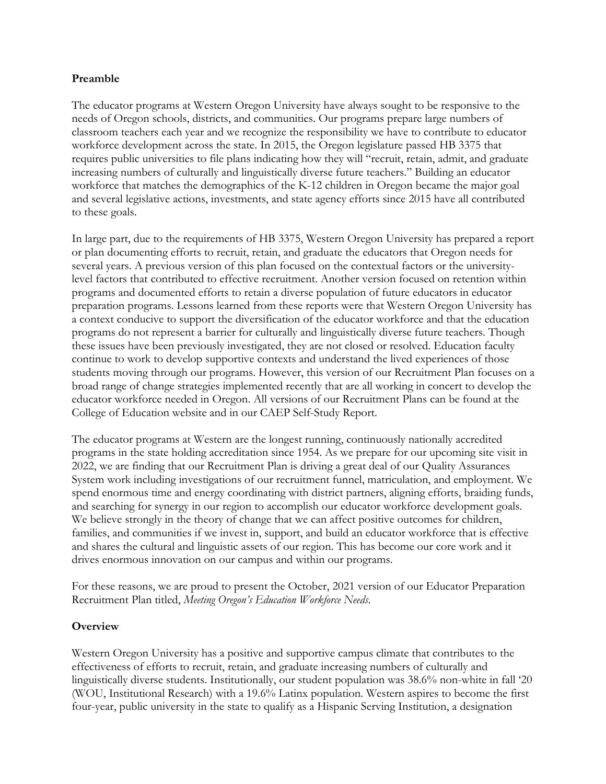#### **Preamble**

The educator programs at Western Oregon University have always sought to be responsive to the needs of Oregon schools, districts, and communities. Our programs prepare large numbers of classroom teachers each year and we recognize the responsibility we have to contribute to educator workforce development across the state. In 2015, the Oregon legislature passed HB 3375 that requires public universities to file plans indicating how they will "recruit, retain, admit, and graduate increasing numbers of culturally and linguistically diverse future teachers." Building an educator workforce that matches the demographics of the K-12 children in Oregon became the major goal and several legislative actions, investments, and state agency efforts since 2015 have all contributed to these goals.

In large part, due to the requirements of HB 3375, Western Oregon University has prepared a report or plan documenting efforts to recruit, retain, and graduate the educators that Oregon needs for several years. A previous version of this plan focused on the contextual factors or the universitylevel factors that contributed to effective recruitment. Another version focused on retention within programs and documented efforts to retain a diverse population of future educators in educator preparation programs. Lessons learned from these reports were that Western Oregon University has a context conducive to support the diversification of the educator workforce and that the education programs do not represent a barrier for culturally and linguistically diverse future teachers. Though these issues have been previously investigated, they are not closed or resolved. Education faculty continue to work to develop supportive contexts and understand the lived experiences of those students moving through our programs. However, this version of our Recruitment Plan focuses on a broad range of change strategies implemented recently that are all working in concert to develop the educator workforce needed in Oregon. All versions of our Recruitment Plans can be found at the College of Education website and in our CAEP Self-Study Report.

The educator programs at Western are the longest running, continuously nationally accredited programs in the state holding accreditation since 1954. As we prepare for our upcoming site visit in 2022, we are finding that our Recruitment Plan is driving a great deal of our Quality Assurances System work including investigations of our recruitment funnel, matriculation, and employment. We spend enormous time and energy coordinating with district partners, aligning efforts, braiding funds, and searching for synergy in our region to accomplish our educator workforce development goals. We believe strongly in the theory of change that we can affect positive outcomes for children, families, and communities if we invest in, support, and build an educator workforce that is effective and shares the cultural and linguistic assets of our region. This has become our core work and it drives enormous innovation on our campus and within our programs.

For these reasons, we are proud to present the October, 2021 version of our Educator Preparation Recruitment Plan titled, *Meeting Oregon's Education Workforce Needs*.

#### **Overview**

Western Oregon University has a positive and supportive campus climate that contributes to the effectiveness of efforts to recruit, retain, and graduate increasing numbers of culturally and linguistically diverse students. Institutionally, our student population was 38.6% non-white in fall '20 (WOU, Institutional Research) with a 19.6% Latinx population. Western aspires to become the first four-year, public university in the state to qualify as a Hispanic Serving Institution, a designation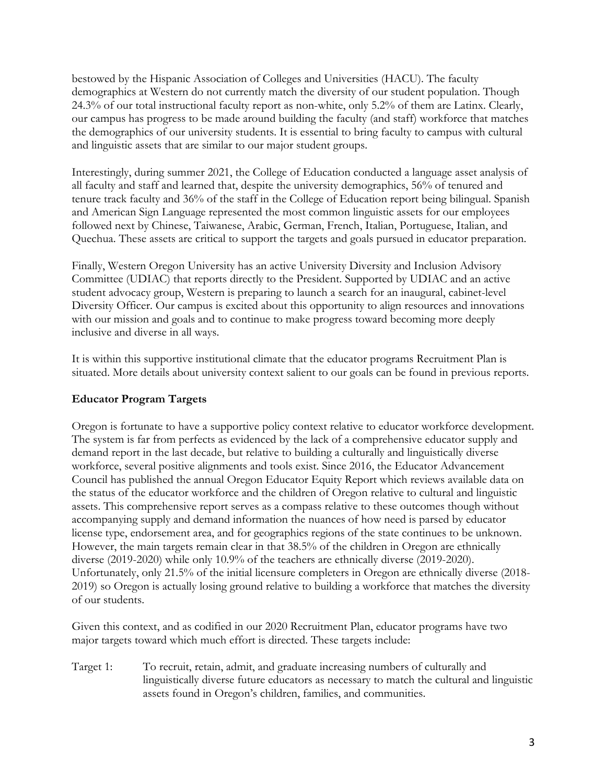bestowed by the Hispanic Association of Colleges and Universities (HACU). The faculty demographics at Western do not currently match the diversity of our student population. Though 24.3% of our total instructional faculty report as non-white, only 5.2% of them are Latinx. Clearly, our campus has progress to be made around building the faculty (and staff) workforce that matches the demographics of our university students. It is essential to bring faculty to campus with cultural and linguistic assets that are similar to our major student groups.

Interestingly, during summer 2021, the College of Education conducted a language asset analysis of all faculty and staff and learned that, despite the university demographics, 56% of tenured and tenure track faculty and 36% of the staff in the College of Education report being bilingual. Spanish and American Sign Language represented the most common linguistic assets for our employees followed next by Chinese, Taiwanese, Arabic, German, French, Italian, Portuguese, Italian, and Quechua. These assets are critical to support the targets and goals pursued in educator preparation.

Finally, Western Oregon University has an active University Diversity and Inclusion Advisory Committee (UDIAC) that reports directly to the President. Supported by UDIAC and an active student advocacy group, Western is preparing to launch a search for an inaugural, cabinet-level Diversity Officer. Our campus is excited about this opportunity to align resources and innovations with our mission and goals and to continue to make progress toward becoming more deeply inclusive and diverse in all ways.

It is within this supportive institutional climate that the educator programs Recruitment Plan is situated. More details about university context salient to our goals can be found in previous reports.

#### **Educator Program Targets**

Oregon is fortunate to have a supportive policy context relative to educator workforce development. The system is far from perfects as evidenced by the lack of a comprehensive educator supply and demand report in the last decade, but relative to building a culturally and linguistically diverse workforce, several positive alignments and tools exist. Since 2016, the Educator Advancement Council has published the annual Oregon Educator Equity Report which reviews available data on the status of the educator workforce and the children of Oregon relative to cultural and linguistic assets. This comprehensive report serves as a compass relative to these outcomes though without accompanying supply and demand information the nuances of how need is parsed by educator license type, endorsement area, and for geographics regions of the state continues to be unknown. However, the main targets remain clear in that 38.5% of the children in Oregon are ethnically diverse (2019-2020) while only 10.9% of the teachers are ethnically diverse (2019-2020). Unfortunately, only 21.5% of the initial licensure completers in Oregon are ethnically diverse (2018- 2019) so Oregon is actually losing ground relative to building a workforce that matches the diversity of our students.

Given this context, and as codified in our 2020 Recruitment Plan, educator programs have two major targets toward which much effort is directed. These targets include:

Target 1: To recruit, retain, admit, and graduate increasing numbers of culturally and linguistically diverse future educators as necessary to match the cultural and linguistic assets found in Oregon's children, families, and communities.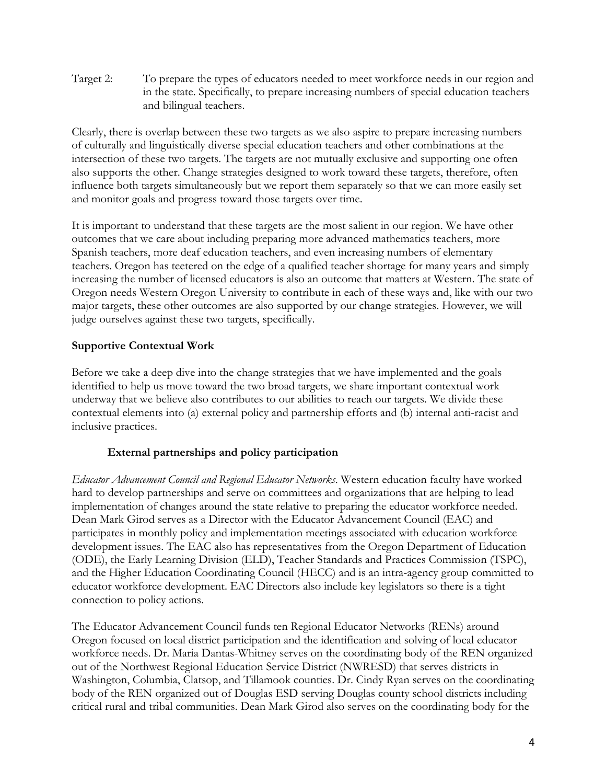Target 2: To prepare the types of educators needed to meet workforce needs in our region and in the state. Specifically, to prepare increasing numbers of special education teachers and bilingual teachers.

Clearly, there is overlap between these two targets as we also aspire to prepare increasing numbers of culturally and linguistically diverse special education teachers and other combinations at the intersection of these two targets. The targets are not mutually exclusive and supporting one often also supports the other. Change strategies designed to work toward these targets, therefore, often influence both targets simultaneously but we report them separately so that we can more easily set and monitor goals and progress toward those targets over time.

It is important to understand that these targets are the most salient in our region. We have other outcomes that we care about including preparing more advanced mathematics teachers, more Spanish teachers, more deaf education teachers, and even increasing numbers of elementary teachers. Oregon has teetered on the edge of a qualified teacher shortage for many years and simply increasing the number of licensed educators is also an outcome that matters at Western. The state of Oregon needs Western Oregon University to contribute in each of these ways and, like with our two major targets, these other outcomes are also supported by our change strategies. However, we will judge ourselves against these two targets, specifically.

#### **Supportive Contextual Work**

Before we take a deep dive into the change strategies that we have implemented and the goals identified to help us move toward the two broad targets, we share important contextual work underway that we believe also contributes to our abilities to reach our targets. We divide these contextual elements into (a) external policy and partnership efforts and (b) internal anti-racist and inclusive practices.

#### **External partnerships and policy participation**

*Educator Advancement Council and Regional Educator Networks*. Western education faculty have worked hard to develop partnerships and serve on committees and organizations that are helping to lead implementation of changes around the state relative to preparing the educator workforce needed. Dean Mark Girod serves as a Director with the Educator Advancement Council (EAC) and participates in monthly policy and implementation meetings associated with education workforce development issues. The EAC also has representatives from the Oregon Department of Education (ODE), the Early Learning Division (ELD), Teacher Standards and Practices Commission (TSPC), and the Higher Education Coordinating Council (HECC) and is an intra-agency group committed to educator workforce development. EAC Directors also include key legislators so there is a tight connection to policy actions.

The Educator Advancement Council funds ten Regional Educator Networks (RENs) around Oregon focused on local district participation and the identification and solving of local educator workforce needs. Dr. Maria Dantas-Whitney serves on the coordinating body of the REN organized out of the Northwest Regional Education Service District (NWRESD) that serves districts in Washington, Columbia, Clatsop, and Tillamook counties. Dr. Cindy Ryan serves on the coordinating body of the REN organized out of Douglas ESD serving Douglas county school districts including critical rural and tribal communities. Dean Mark Girod also serves on the coordinating body for the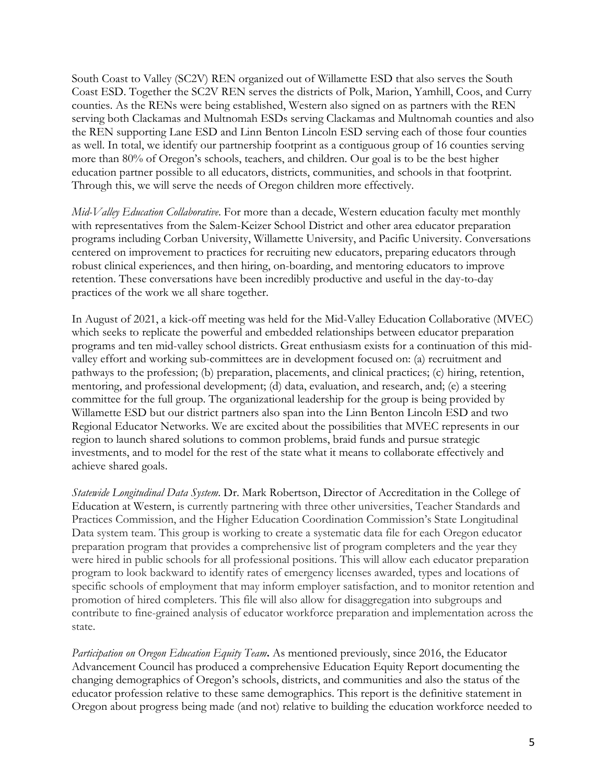South Coast to Valley (SC2V) REN organized out of Willamette ESD that also serves the South Coast ESD. Together the SC2V REN serves the districts of Polk, Marion, Yamhill, Coos, and Curry counties. As the RENs were being established, Western also signed on as partners with the REN serving both Clackamas and Multnomah ESDs serving Clackamas and Multnomah counties and also the REN supporting Lane ESD and Linn Benton Lincoln ESD serving each of those four counties as well. In total, we identify our partnership footprint as a contiguous group of 16 counties serving more than 80% of Oregon's schools, teachers, and children. Our goal is to be the best higher education partner possible to all educators, districts, communities, and schools in that footprint. Through this, we will serve the needs of Oregon children more effectively.

*Mid-Valley Education Collaborative*. For more than a decade, Western education faculty met monthly with representatives from the Salem-Keizer School District and other area educator preparation programs including Corban University, Willamette University, and Pacific University. Conversations centered on improvement to practices for recruiting new educators, preparing educators through robust clinical experiences, and then hiring, on-boarding, and mentoring educators to improve retention. These conversations have been incredibly productive and useful in the day-to-day practices of the work we all share together.

In August of 2021, a kick-off meeting was held for the Mid-Valley Education Collaborative (MVEC) which seeks to replicate the powerful and embedded relationships between educator preparation programs and ten mid-valley school districts. Great enthusiasm exists for a continuation of this midvalley effort and working sub-committees are in development focused on: (a) recruitment and pathways to the profession; (b) preparation, placements, and clinical practices; (c) hiring, retention, mentoring, and professional development; (d) data, evaluation, and research, and; (e) a steering committee for the full group. The organizational leadership for the group is being provided by Willamette ESD but our district partners also span into the Linn Benton Lincoln ESD and two Regional Educator Networks. We are excited about the possibilities that MVEC represents in our region to launch shared solutions to common problems, braid funds and pursue strategic investments, and to model for the rest of the state what it means to collaborate effectively and achieve shared goals.

*Statewide Longitudinal Data System*. Dr. Mark Robertson, Director of Accreditation in the College of Education at Western, is currently partnering with three other universities, Teacher Standards and Practices Commission, and the Higher Education Coordination Commission's State Longitudinal Data system team. This group is working to create a systematic data file for each Oregon educator preparation program that provides a comprehensive list of program completers and the year they were hired in public schools for all professional positions. This will allow each educator preparation program to look backward to identify rates of emergency licenses awarded, types and locations of specific schools of employment that may inform employer satisfaction, and to monitor retention and promotion of hired completers. This file will also allow for disaggregation into subgroups and contribute to fine-grained analysis of educator workforce preparation and implementation across the state.

*Participation on Oregon Education Equity Team***.** As mentioned previously, since 2016, the Educator Advancement Council has produced a comprehensive Education Equity Report documenting the changing demographics of Oregon's schools, districts, and communities and also the status of the educator profession relative to these same demographics. This report is the definitive statement in Oregon about progress being made (and not) relative to building the education workforce needed to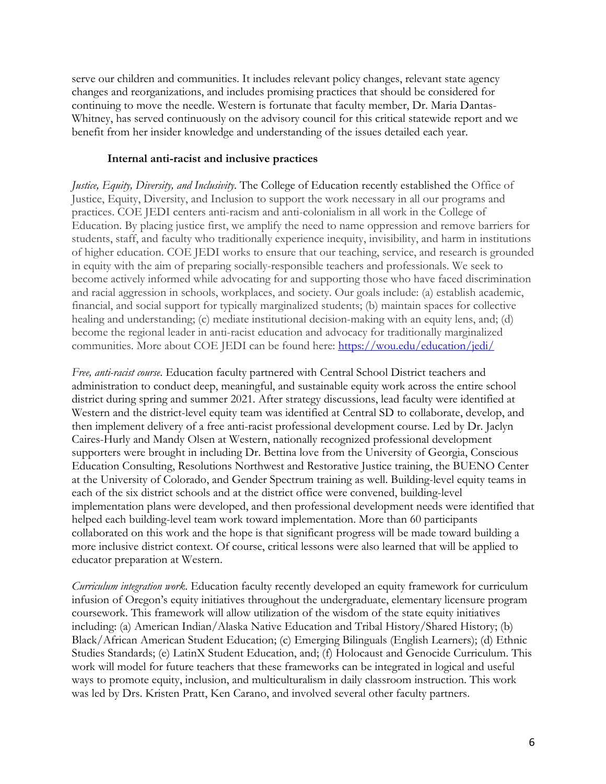serve our children and communities. It includes relevant policy changes, relevant state agency changes and reorganizations, and includes promising practices that should be considered for continuing to move the needle. Western is fortunate that faculty member, Dr. Maria Dantas-Whitney, has served continuously on the advisory council for this critical statewide report and we benefit from her insider knowledge and understanding of the issues detailed each year.

#### **Internal anti-racist and inclusive practices**

*Justice, Equity, Diversity, and Inclusivity*. The College of Education recently established the Office of Justice, Equity, Diversity, and Inclusion to support the work necessary in all our programs and practices. COE JEDI centers anti-racism and anti-colonialism in all work in the College of Education. By placing justice first, we amplify the need to name oppression and remove barriers for students, staff, and faculty who traditionally experience inequity, invisibility, and harm in institutions of higher education. COE JEDI works to ensure that our teaching, service, and research is grounded in equity with the aim of preparing socially-responsible teachers and professionals. We seek to become actively informed while advocating for and supporting those who have faced discrimination and racial aggression in schools, workplaces, and society. Our goals include: (a) establish academic, financial, and social support for typically marginalized students; (b) maintain spaces for collective healing and understanding; (c) mediate institutional decision-making with an equity lens, and; (d) become the regional leader in anti-racist education and advocacy for traditionally marginalized communities. More about COE JEDI can be found here: https://wou.edu/education/jedi/

*Free, anti-racist course*. Education faculty partnered with Central School District teachers and administration to conduct deep, meaningful, and sustainable equity work across the entire school district during spring and summer 2021. After strategy discussions, lead faculty were identified at Western and the district-level equity team was identified at Central SD to collaborate, develop, and then implement delivery of a free anti-racist professional development course. Led by Dr. Jaclyn Caires-Hurly and Mandy Olsen at Western, nationally recognized professional development supporters were brought in including Dr. Bettina love from the University of Georgia, Conscious Education Consulting, Resolutions Northwest and Restorative Justice training, the BUENO Center at the University of Colorado, and Gender Spectrum training as well. Building-level equity teams in each of the six district schools and at the district office were convened, building-level implementation plans were developed, and then professional development needs were identified that helped each building-level team work toward implementation. More than 60 participants collaborated on this work and the hope is that significant progress will be made toward building a more inclusive district context. Of course, critical lessons were also learned that will be applied to educator preparation at Western.

*Curriculum integration work*. Education faculty recently developed an equity framework for curriculum infusion of Oregon's equity initiatives throughout the undergraduate, elementary licensure program coursework. This framework will allow utilization of the wisdom of the state equity initiatives including: (a) American Indian/Alaska Native Education and Tribal History/Shared History; (b) Black/African American Student Education; (c) Emerging Bilinguals (English Learners); (d) Ethnic Studies Standards; (e) LatinX Student Education, and; (f) Holocaust and Genocide Curriculum. This work will model for future teachers that these frameworks can be integrated in logical and useful ways to promote equity, inclusion, and multiculturalism in daily classroom instruction. This work was led by Drs. Kristen Pratt, Ken Carano, and involved several other faculty partners.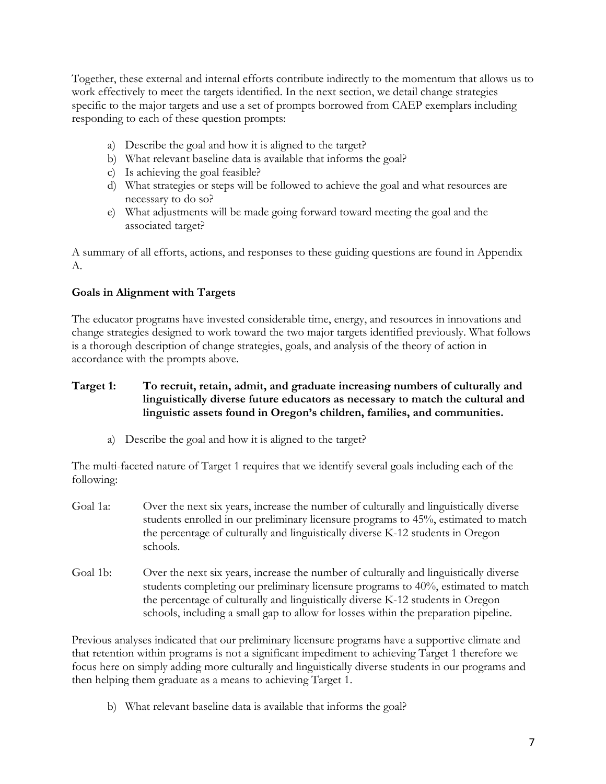Together, these external and internal efforts contribute indirectly to the momentum that allows us to work effectively to meet the targets identified. In the next section, we detail change strategies specific to the major targets and use a set of prompts borrowed from CAEP exemplars including responding to each of these question prompts:

- a) Describe the goal and how it is aligned to the target?
- b) What relevant baseline data is available that informs the goal?
- c) Is achieving the goal feasible?
- d) What strategies or steps will be followed to achieve the goal and what resources are necessary to do so?
- e) What adjustments will be made going forward toward meeting the goal and the associated target?

A summary of all efforts, actions, and responses to these guiding questions are found in Appendix A.

#### **Goals in Alignment with Targets**

The educator programs have invested considerable time, energy, and resources in innovations and change strategies designed to work toward the two major targets identified previously. What follows is a thorough description of change strategies, goals, and analysis of the theory of action in accordance with the prompts above.

#### **Target 1: To recruit, retain, admit, and graduate increasing numbers of culturally and linguistically diverse future educators as necessary to match the cultural and linguistic assets found in Oregon's children, families, and communities.**

a) Describe the goal and how it is aligned to the target?

The multi-faceted nature of Target 1 requires that we identify several goals including each of the following:

- Goal 1a: Over the next six years, increase the number of culturally and linguistically diverse students enrolled in our preliminary licensure programs to 45%, estimated to match the percentage of culturally and linguistically diverse K-12 students in Oregon schools.
- Goal 1b: Over the next six years, increase the number of culturally and linguistically diverse students completing our preliminary licensure programs to 40%, estimated to match the percentage of culturally and linguistically diverse K-12 students in Oregon schools, including a small gap to allow for losses within the preparation pipeline.

Previous analyses indicated that our preliminary licensure programs have a supportive climate and that retention within programs is not a significant impediment to achieving Target 1 therefore we focus here on simply adding more culturally and linguistically diverse students in our programs and then helping them graduate as a means to achieving Target 1.

b) What relevant baseline data is available that informs the goal?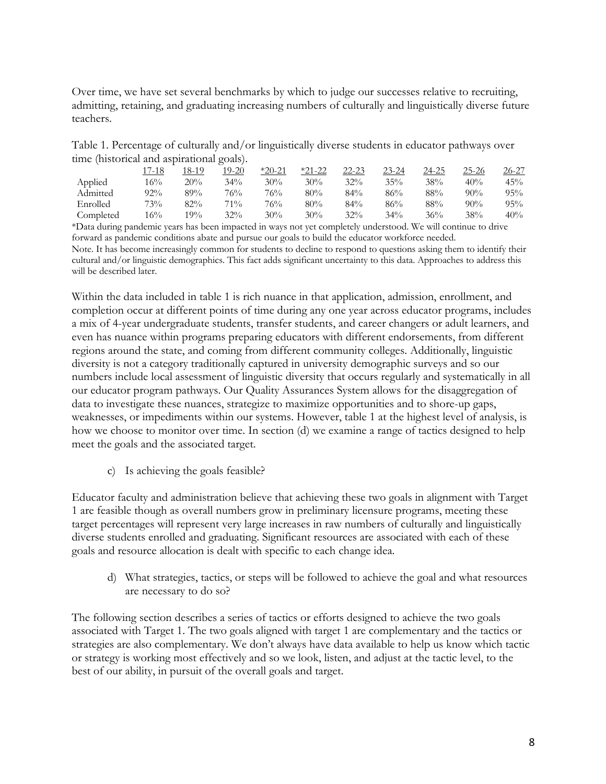Over time, we have set several benchmarks by which to judge our successes relative to recruiting, admitting, retaining, and graduating increasing numbers of culturally and linguistically diverse future teachers.

Table 1. Percentage of culturally and/or linguistically diverse students in educator pathways over time (historical and aspirational goals).

|           | 17-18 | 18-19 | 19-20  | $*20-21$ | $*21-22$ | $22 - 23$ | $23 - 24$ | 24-25  | 25-26  | 26-27  |
|-----------|-------|-------|--------|----------|----------|-----------|-----------|--------|--------|--------|
| Applied   | 16%   | 20%   | 34%    | 30%      | 30%      | $32\%$    | 35%       | 38%    | 40%    | 45%    |
| Admitted  | 92%   | 89%   | 76%    | 76%      | 80%      | 84%       | 86%       | 88%    | $90\%$ | $95\%$ |
| Enrolled  | 73%   | 82%   | $71\%$ | 76%      | 80%      | 84%       | 86%       | 88%    | $90\%$ | $95\%$ |
| Completed | 16%   | 19%   | 32%    | 30%      | $30\%$   | $32\%$    | $34\%$    | $36\%$ | 38%    | 40%    |
|           |       |       |        |          |          |           |           |        |        |        |

\*Data during pandemic years has been impacted in ways not yet completely understood. We will continue to drive forward as pandemic conditions abate and pursue our goals to build the educator workforce needed. Note. It has become increasingly common for students to decline to respond to questions asking them to identify their cultural and/or linguistic demographics. This fact adds significant uncertainty to this data. Approaches to address this will be described later.

Within the data included in table 1 is rich nuance in that application, admission, enrollment, and completion occur at different points of time during any one year across educator programs, includes a mix of 4-year undergraduate students, transfer students, and career changers or adult learners, and even has nuance within programs preparing educators with different endorsements, from different regions around the state, and coming from different community colleges. Additionally, linguistic diversity is not a category traditionally captured in university demographic surveys and so our numbers include local assessment of linguistic diversity that occurs regularly and systematically in all our educator program pathways. Our Quality Assurances System allows for the disaggregation of data to investigate these nuances, strategize to maximize opportunities and to shore-up gaps, weaknesses, or impediments within our systems. However, table 1 at the highest level of analysis, is how we choose to monitor over time. In section (d) we examine a range of tactics designed to help meet the goals and the associated target.

c) Is achieving the goals feasible?

Educator faculty and administration believe that achieving these two goals in alignment with Target 1 are feasible though as overall numbers grow in preliminary licensure programs, meeting these target percentages will represent very large increases in raw numbers of culturally and linguistically diverse students enrolled and graduating. Significant resources are associated with each of these goals and resource allocation is dealt with specific to each change idea.

d) What strategies, tactics, or steps will be followed to achieve the goal and what resources are necessary to do so?

The following section describes a series of tactics or efforts designed to achieve the two goals associated with Target 1. The two goals aligned with target 1 are complementary and the tactics or strategies are also complementary. We don't always have data available to help us know which tactic or strategy is working most effectively and so we look, listen, and adjust at the tactic level, to the best of our ability, in pursuit of the overall goals and target.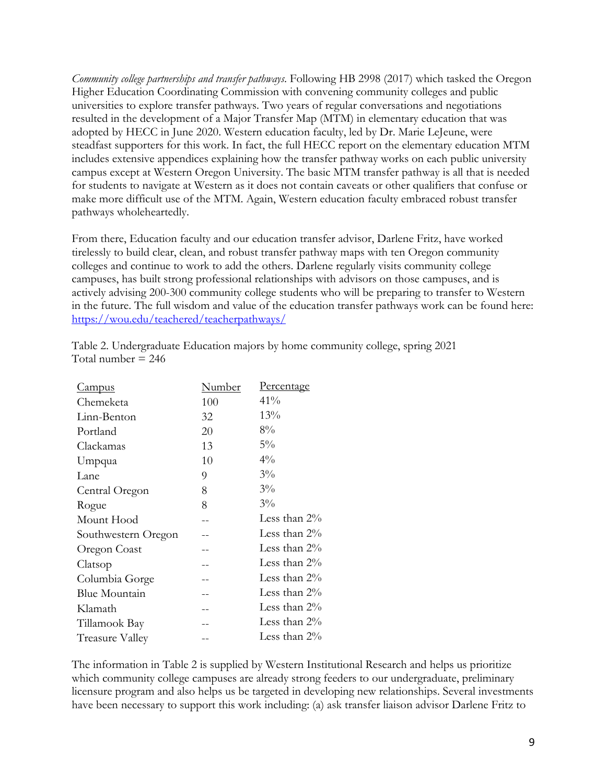*Community college partnerships and transfer pathways*. Following HB 2998 (2017) which tasked the Oregon Higher Education Coordinating Commission with convening community colleges and public universities to explore transfer pathways. Two years of regular conversations and negotiations resulted in the development of a Major Transfer Map (MTM) in elementary education that was adopted by HECC in June 2020. Western education faculty, led by Dr. Marie LeJeune, were steadfast supporters for this work. In fact, the full HECC report on the elementary education MTM includes extensive appendices explaining how the transfer pathway works on each public university campus except at Western Oregon University. The basic MTM transfer pathway is all that is needed for students to navigate at Western as it does not contain caveats or other qualifiers that confuse or make more difficult use of the MTM. Again, Western education faculty embraced robust transfer pathways wholeheartedly.

From there, Education faculty and our education transfer advisor, Darlene Fritz, have worked tirelessly to build clear, clean, and robust transfer pathway maps with ten Oregon community colleges and continue to work to add the others. Darlene regularly visits community college campuses, has built strong professional relationships with advisors on those campuses, and is actively advising 200-300 community college students who will be preparing to transfer to Western in the future. The full wisdom and value of the education transfer pathways work can be found here: https://wou.edu/teachered/teacherpathways/

| <u>Campus</u>       | Number | <u>Percentage</u> |
|---------------------|--------|-------------------|
| Chemeketa           | 100    | 41%               |
| Linn-Benton         | 32     | 13%               |
| Portland            | 20     | $8\%$             |
| Clackamas           | 13     | $5\%$             |
| Umpqua              | 10     | $4\%$             |
| Lane                | 9      | $3\%$             |
| Central Oregon      | 8      | $3\%$             |
| Rogue               | 8      | $3\%$             |
| Mount Hood          |        | Less than $2\%$   |
| Southwestern Oregon |        | Less than $2\%$   |
| Oregon Coast        |        | Less than $2\%$   |
| Clatsop             |        | Less than $2\%$   |
| Columbia Gorge      |        | Less than $2\%$   |
| Blue Mountain       |        | Less than $2\%$   |
| Klamath             |        | Less than $2\%$   |
| Tillamook Bay       |        | Less than $2\%$   |
| Treasure Valley     |        | Less than 2%      |

Table 2. Undergraduate Education majors by home community college, spring 2021 Total number  $= 246$ 

The information in Table 2 is supplied by Western Institutional Research and helps us prioritize which community college campuses are already strong feeders to our undergraduate, preliminary licensure program and also helps us be targeted in developing new relationships. Several investments have been necessary to support this work including: (a) ask transfer liaison advisor Darlene Fritz to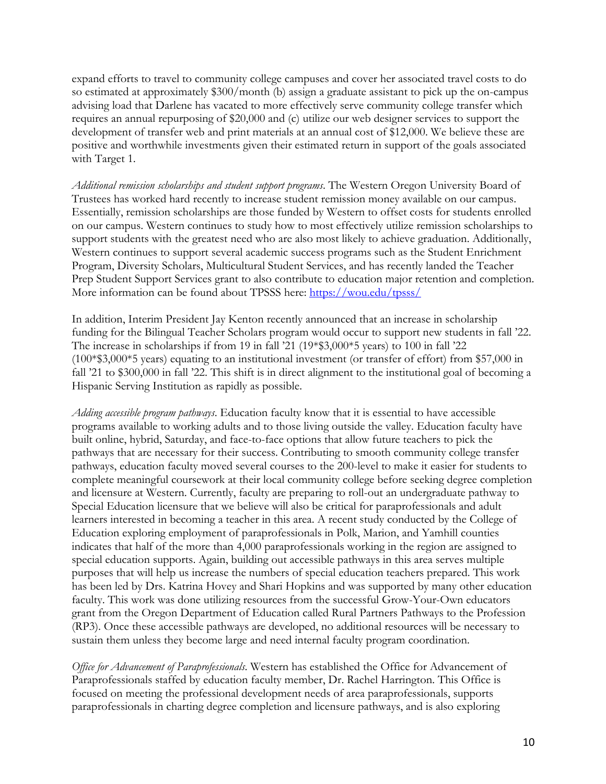expand efforts to travel to community college campuses and cover her associated travel costs to do so estimated at approximately \$300/month (b) assign a graduate assistant to pick up the on-campus advising load that Darlene has vacated to more effectively serve community college transfer which requires an annual repurposing of \$20,000 and (c) utilize our web designer services to support the development of transfer web and print materials at an annual cost of \$12,000. We believe these are positive and worthwhile investments given their estimated return in support of the goals associated with Target 1.

*Additional remission scholarships and student support programs*. The Western Oregon University Board of Trustees has worked hard recently to increase student remission money available on our campus. Essentially, remission scholarships are those funded by Western to offset costs for students enrolled on our campus. Western continues to study how to most effectively utilize remission scholarships to support students with the greatest need who are also most likely to achieve graduation. Additionally, Western continues to support several academic success programs such as the Student Enrichment Program, Diversity Scholars, Multicultural Student Services, and has recently landed the Teacher Prep Student Support Services grant to also contribute to education major retention and completion. More information can be found about TPSSS here: https://wou.edu/tpsss/

In addition, Interim President Jay Kenton recently announced that an increase in scholarship funding for the Bilingual Teacher Scholars program would occur to support new students in fall '22. The increase in scholarships if from 19 in fall '21 (19\*\$3,000\*5 years) to 100 in fall '22 (100\*\$3,000\*5 years) equating to an institutional investment (or transfer of effort) from \$57,000 in fall '21 to \$300,000 in fall '22. This shift is in direct alignment to the institutional goal of becoming a Hispanic Serving Institution as rapidly as possible.

*Adding accessible program pathways*. Education faculty know that it is essential to have accessible programs available to working adults and to those living outside the valley. Education faculty have built online, hybrid, Saturday, and face-to-face options that allow future teachers to pick the pathways that are necessary for their success. Contributing to smooth community college transfer pathways, education faculty moved several courses to the 200-level to make it easier for students to complete meaningful coursework at their local community college before seeking degree completion and licensure at Western. Currently, faculty are preparing to roll-out an undergraduate pathway to Special Education licensure that we believe will also be critical for paraprofessionals and adult learners interested in becoming a teacher in this area. A recent study conducted by the College of Education exploring employment of paraprofessionals in Polk, Marion, and Yamhill counties indicates that half of the more than 4,000 paraprofessionals working in the region are assigned to special education supports. Again, building out accessible pathways in this area serves multiple purposes that will help us increase the numbers of special education teachers prepared. This work has been led by Drs. Katrina Hovey and Shari Hopkins and was supported by many other education faculty. This work was done utilizing resources from the successful Grow-Your-Own educators grant from the Oregon Department of Education called Rural Partners Pathways to the Profession (RP3). Once these accessible pathways are developed, no additional resources will be necessary to sustain them unless they become large and need internal faculty program coordination.

*Office for Advancement of Paraprofessionals*. Western has established the Office for Advancement of Paraprofessionals staffed by education faculty member, Dr. Rachel Harrington. This Office is focused on meeting the professional development needs of area paraprofessionals, supports paraprofessionals in charting degree completion and licensure pathways, and is also exploring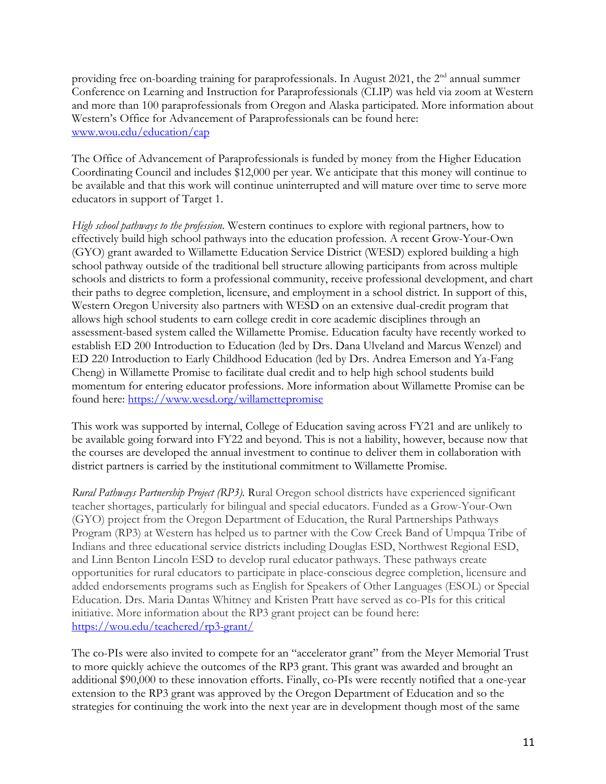providing free on-boarding training for paraprofessionals. In August 2021, the 2<sup>nd</sup> annual summer Conference on Learning and Instruction for Paraprofessionals (CLIP) was held via zoom at Western and more than 100 paraprofessionals from Oregon and Alaska participated. More information about Western's Office for Advancement of Paraprofessionals can be found here: www.wou.edu/education/cap

The Office of Advancement of Paraprofessionals is funded by money from the Higher Education Coordinating Council and includes \$12,000 per year. We anticipate that this money will continue to be available and that this work will continue uninterrupted and will mature over time to serve more educators in support of Target 1.

*High school pathways to the profession*. Western continues to explore with regional partners, how to effectively build high school pathways into the education profession. A recent Grow-Your-Own (GYO) grant awarded to Willamette Education Service District (WESD) explored building a high school pathway outside of the traditional bell structure allowing participants from across multiple schools and districts to form a professional community, receive professional development, and chart their paths to degree completion, licensure, and employment in a school district. In support of this, Western Oregon University also partners with WESD on an extensive dual-credit program that allows high school students to earn college credit in core academic disciplines through an assessment-based system called the Willamette Promise. Education faculty have recently worked to establish ED 200 Introduction to Education (led by Drs. Dana Ulveland and Marcus Wenzel) and ED 220 Introduction to Early Childhood Education (led by Drs. Andrea Emerson and Ya-Fang Cheng) in Willamette Promise to facilitate dual credit and to help high school students build momentum for entering educator professions. More information about Willamette Promise can be found here: https://www.wesd.org/willamettepromise

This work was supported by internal, College of Education saving across FY21 and are unlikely to be available going forward into FY22 and beyond. This is not a liability, however, because now that the courses are developed the annual investment to continue to deliver them in collaboration with district partners is carried by the institutional commitment to Willamette Promise.

*Rural Pathways Partnership Project (RP3).* Rural Oregon school districts have experienced significant teacher shortages, particularly for bilingual and special educators. Funded as a Grow-Your-Own (GYO) project from the Oregon Department of Education, the Rural Partnerships Pathways Program (RP3) at Western has helped us to partner with the Cow Creek Band of Umpqua Tribe of Indians and three educational service districts including Douglas ESD, Northwest Regional ESD, and Linn Benton Lincoln ESD to develop rural educator pathways. These pathways create opportunities for rural educators to participate in place-conscious degree completion, licensure and added endorsements programs such as English for Speakers of Other Languages (ESOL) or Special Education. Drs. Maria Dantas Whitney and Kristen Pratt have served as co-PIs for this critical initiative. More information about the RP3 grant project can be found here: https://wou.edu/teachered/rp3-grant/

The co-PIs were also invited to compete for an "accelerator grant" from the Meyer Memorial Trust to more quickly achieve the outcomes of the RP3 grant. This grant was awarded and brought an additional \$90,000 to these innovation efforts. Finally, co-PIs were recently notified that a one-year extension to the RP3 grant was approved by the Oregon Department of Education and so the strategies for continuing the work into the next year are in development though most of the same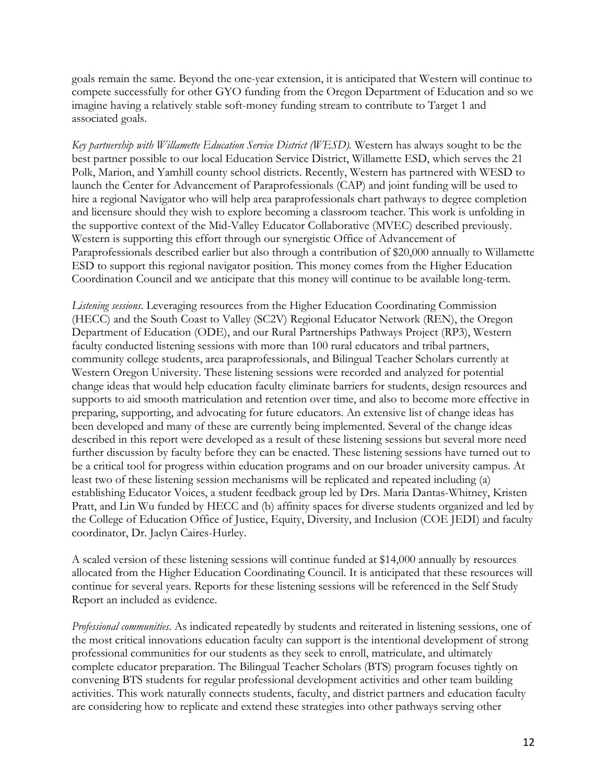goals remain the same. Beyond the one-year extension, it is anticipated that Western will continue to compete successfully for other GYO funding from the Oregon Department of Education and so we imagine having a relatively stable soft-money funding stream to contribute to Target 1 and associated goals.

*Key partnership with Willamette Education Service District (WESD).* Western has always sought to be the best partner possible to our local Education Service District, Willamette ESD, which serves the 21 Polk, Marion, and Yamhill county school districts. Recently, Western has partnered with WESD to launch the Center for Advancement of Paraprofessionals (CAP) and joint funding will be used to hire a regional Navigator who will help area paraprofessionals chart pathways to degree completion and licensure should they wish to explore becoming a classroom teacher. This work is unfolding in the supportive context of the Mid-Valley Educator Collaborative (MVEC) described previously. Western is supporting this effort through our synergistic Office of Advancement of Paraprofessionals described earlier but also through a contribution of \$20,000 annually to Willamette ESD to support this regional navigator position. This money comes from the Higher Education Coordination Council and we anticipate that this money will continue to be available long-term.

*Listening sessions*. Leveraging resources from the Higher Education Coordinating Commission (HECC) and the South Coast to Valley (SC2V) Regional Educator Network (REN), the Oregon Department of Education (ODE), and our Rural Partnerships Pathways Project (RP3), Western faculty conducted listening sessions with more than 100 rural educators and tribal partners, community college students, area paraprofessionals, and Bilingual Teacher Scholars currently at Western Oregon University. These listening sessions were recorded and analyzed for potential change ideas that would help education faculty eliminate barriers for students, design resources and supports to aid smooth matriculation and retention over time, and also to become more effective in preparing, supporting, and advocating for future educators. An extensive list of change ideas has been developed and many of these are currently being implemented. Several of the change ideas described in this report were developed as a result of these listening sessions but several more need further discussion by faculty before they can be enacted. These listening sessions have turned out to be a critical tool for progress within education programs and on our broader university campus. At least two of these listening session mechanisms will be replicated and repeated including (a) establishing Educator Voices, a student feedback group led by Drs. Maria Dantas-Whitney, Kristen Pratt, and Lin Wu funded by HECC and (b) affinity spaces for diverse students organized and led by the College of Education Office of Justice, Equity, Diversity, and Inclusion (COE JEDI) and faculty coordinator, Dr. Jaclyn Caires-Hurley.

A scaled version of these listening sessions will continue funded at \$14,000 annually by resources allocated from the Higher Education Coordinating Council. It is anticipated that these resources will continue for several years. Reports for these listening sessions will be referenced in the Self Study Report an included as evidence.

*Professional communities*. As indicated repeatedly by students and reiterated in listening sessions, one of the most critical innovations education faculty can support is the intentional development of strong professional communities for our students as they seek to enroll, matriculate, and ultimately complete educator preparation. The Bilingual Teacher Scholars (BTS) program focuses tightly on convening BTS students for regular professional development activities and other team building activities. This work naturally connects students, faculty, and district partners and education faculty are considering how to replicate and extend these strategies into other pathways serving other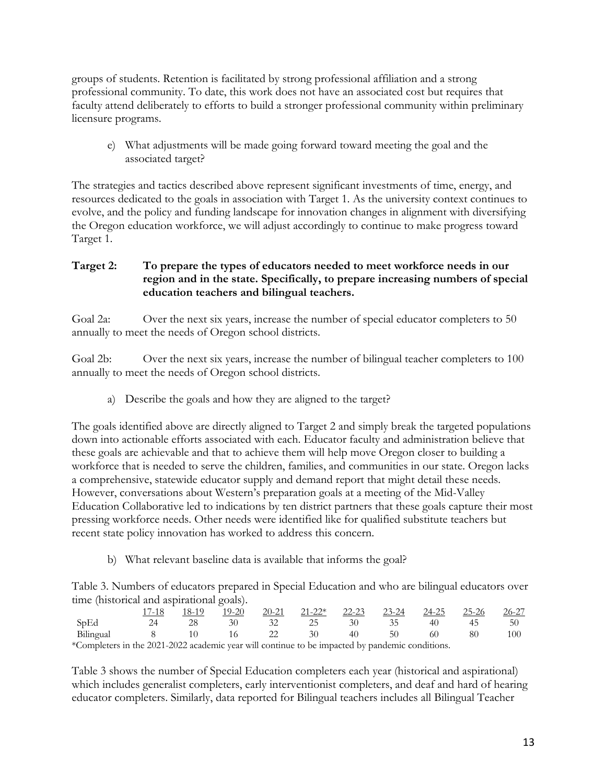groups of students. Retention is facilitated by strong professional affiliation and a strong professional community. To date, this work does not have an associated cost but requires that faculty attend deliberately to efforts to build a stronger professional community within preliminary licensure programs.

e) What adjustments will be made going forward toward meeting the goal and the associated target?

The strategies and tactics described above represent significant investments of time, energy, and resources dedicated to the goals in association with Target 1. As the university context continues to evolve, and the policy and funding landscape for innovation changes in alignment with diversifying the Oregon education workforce, we will adjust accordingly to continue to make progress toward Target 1.

#### **Target 2: To prepare the types of educators needed to meet workforce needs in our region and in the state. Specifically, to prepare increasing numbers of special education teachers and bilingual teachers.**

Goal 2a: Over the next six years, increase the number of special educator completers to 50 annually to meet the needs of Oregon school districts.

Goal 2b: Over the next six years, increase the number of bilingual teacher completers to 100 annually to meet the needs of Oregon school districts.

a) Describe the goals and how they are aligned to the target?

The goals identified above are directly aligned to Target 2 and simply break the targeted populations down into actionable efforts associated with each. Educator faculty and administration believe that these goals are achievable and that to achieve them will help move Oregon closer to building a workforce that is needed to serve the children, families, and communities in our state. Oregon lacks a comprehensive, statewide educator supply and demand report that might detail these needs. However, conversations about Western's preparation goals at a meeting of the Mid-Valley Education Collaborative led to indications by ten district partners that these goals capture their most pressing workforce needs. Other needs were identified like for qualified substitute teachers but recent state policy innovation has worked to address this concern.

b) What relevant baseline data is available that informs the goal?

Table 3. Numbers of educators prepared in Special Education and who are bilingual educators over time (historical and aspirational goals).

|                                                                                                 | 17-18 | 18-19  | 19-20 | $20-21$ | $21-22^*$ 22-23 23-24 |    |      | $\frac{24-25}{2}$ . | 25-26 | 26-27 |
|-------------------------------------------------------------------------------------------------|-------|--------|-------|---------|-----------------------|----|------|---------------------|-------|-------|
| SpEd                                                                                            | 24    | 28     | 30    |         | -25                   | 30 | - 35 | 40                  | 45    | 50    |
| Bilingual                                                                                       | 8     | - 10 - | 16 —  | 22      | $30^{\circ}$          | 40 | -50- | 60                  | 80    | 100   |
| *Completers in the 2021-2022 academic year will continue to be impacted by pandemic conditions. |       |        |       |         |                       |    |      |                     |       |       |

Table 3 shows the number of Special Education completers each year (historical and aspirational) which includes generalist completers, early interventionist completers, and deaf and hard of hearing educator completers. Similarly, data reported for Bilingual teachers includes all Bilingual Teacher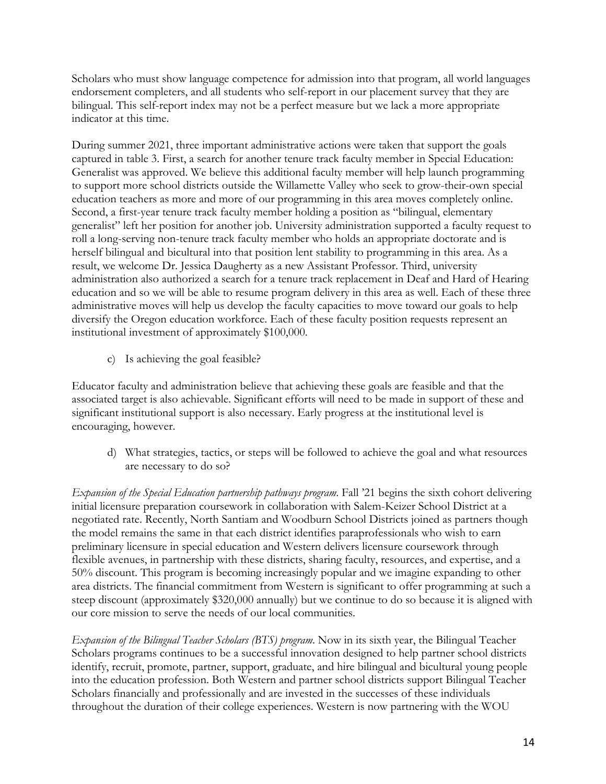Scholars who must show language competence for admission into that program, all world languages endorsement completers, and all students who self-report in our placement survey that they are bilingual. This self-report index may not be a perfect measure but we lack a more appropriate indicator at this time.

During summer 2021, three important administrative actions were taken that support the goals captured in table 3. First, a search for another tenure track faculty member in Special Education: Generalist was approved. We believe this additional faculty member will help launch programming to support more school districts outside the Willamette Valley who seek to grow-their-own special education teachers as more and more of our programming in this area moves completely online. Second, a first-year tenure track faculty member holding a position as "bilingual, elementary generalist" left her position for another job. University administration supported a faculty request to roll a long-serving non-tenure track faculty member who holds an appropriate doctorate and is herself bilingual and bicultural into that position lent stability to programming in this area. As a result, we welcome Dr. Jessica Daugherty as a new Assistant Professor. Third, university administration also authorized a search for a tenure track replacement in Deaf and Hard of Hearing education and so we will be able to resume program delivery in this area as well. Each of these three administrative moves will help us develop the faculty capacities to move toward our goals to help diversify the Oregon education workforce. Each of these faculty position requests represent an institutional investment of approximately \$100,000.

c) Is achieving the goal feasible?

Educator faculty and administration believe that achieving these goals are feasible and that the associated target is also achievable. Significant efforts will need to be made in support of these and significant institutional support is also necessary. Early progress at the institutional level is encouraging, however.

d) What strategies, tactics, or steps will be followed to achieve the goal and what resources are necessary to do so?

*Expansion of the Special Education partnership pathways program*. Fall '21 begins the sixth cohort delivering initial licensure preparation coursework in collaboration with Salem-Keizer School District at a negotiated rate. Recently, North Santiam and Woodburn School Districts joined as partners though the model remains the same in that each district identifies paraprofessionals who wish to earn preliminary licensure in special education and Western delivers licensure coursework through flexible avenues, in partnership with these districts, sharing faculty, resources, and expertise, and a 50% discount. This program is becoming increasingly popular and we imagine expanding to other area districts. The financial commitment from Western is significant to offer programming at such a steep discount (approximately \$320,000 annually) but we continue to do so because it is aligned with our core mission to serve the needs of our local communities.

*Expansion of the Bilingual Teacher Scholars (BTS) program*. Now in its sixth year, the Bilingual Teacher Scholars programs continues to be a successful innovation designed to help partner school districts identify, recruit, promote, partner, support, graduate, and hire bilingual and bicultural young people into the education profession. Both Western and partner school districts support Bilingual Teacher Scholars financially and professionally and are invested in the successes of these individuals throughout the duration of their college experiences. Western is now partnering with the WOU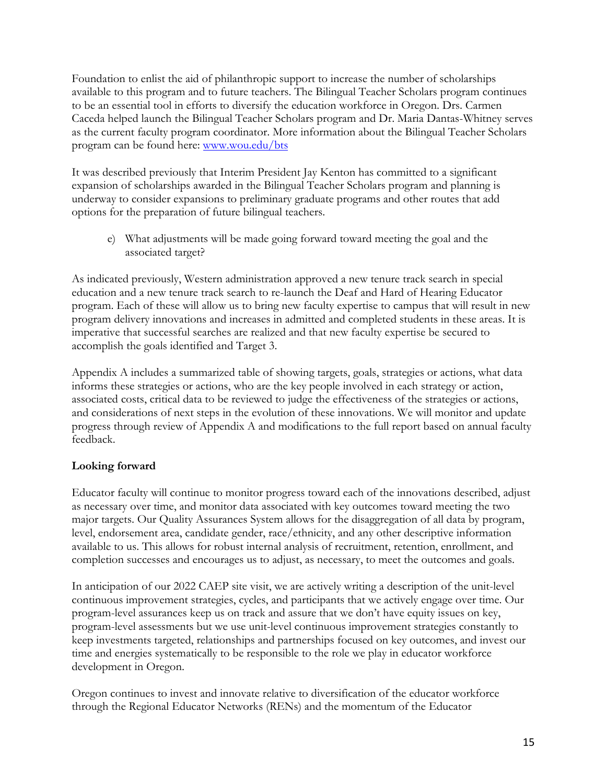Foundation to enlist the aid of philanthropic support to increase the number of scholarships available to this program and to future teachers. The Bilingual Teacher Scholars program continues to be an essential tool in efforts to diversify the education workforce in Oregon. Drs. Carmen Caceda helped launch the Bilingual Teacher Scholars program and Dr. Maria Dantas-Whitney serves as the current faculty program coordinator. More information about the Bilingual Teacher Scholars program can be found here: www.wou.edu/bts

It was described previously that Interim President Jay Kenton has committed to a significant expansion of scholarships awarded in the Bilingual Teacher Scholars program and planning is underway to consider expansions to preliminary graduate programs and other routes that add options for the preparation of future bilingual teachers.

e) What adjustments will be made going forward toward meeting the goal and the associated target?

As indicated previously, Western administration approved a new tenure track search in special education and a new tenure track search to re-launch the Deaf and Hard of Hearing Educator program. Each of these will allow us to bring new faculty expertise to campus that will result in new program delivery innovations and increases in admitted and completed students in these areas. It is imperative that successful searches are realized and that new faculty expertise be secured to accomplish the goals identified and Target 3.

Appendix A includes a summarized table of showing targets, goals, strategies or actions, what data informs these strategies or actions, who are the key people involved in each strategy or action, associated costs, critical data to be reviewed to judge the effectiveness of the strategies or actions, and considerations of next steps in the evolution of these innovations. We will monitor and update progress through review of Appendix A and modifications to the full report based on annual faculty feedback.

#### **Looking forward**

Educator faculty will continue to monitor progress toward each of the innovations described, adjust as necessary over time, and monitor data associated with key outcomes toward meeting the two major targets. Our Quality Assurances System allows for the disaggregation of all data by program, level, endorsement area, candidate gender, race/ethnicity, and any other descriptive information available to us. This allows for robust internal analysis of recruitment, retention, enrollment, and completion successes and encourages us to adjust, as necessary, to meet the outcomes and goals.

In anticipation of our 2022 CAEP site visit, we are actively writing a description of the unit-level continuous improvement strategies, cycles, and participants that we actively engage over time. Our program-level assurances keep us on track and assure that we don't have equity issues on key, program-level assessments but we use unit-level continuous improvement strategies constantly to keep investments targeted, relationships and partnerships focused on key outcomes, and invest our time and energies systematically to be responsible to the role we play in educator workforce development in Oregon.

Oregon continues to invest and innovate relative to diversification of the educator workforce through the Regional Educator Networks (RENs) and the momentum of the Educator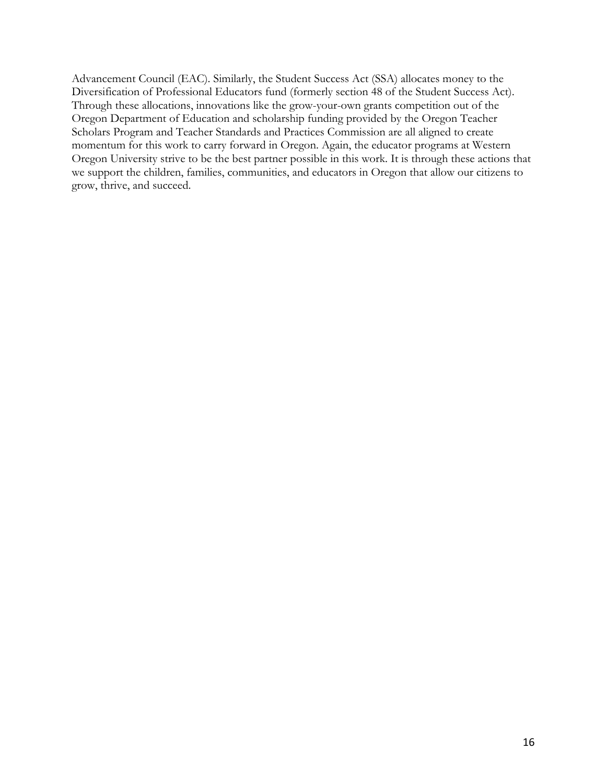Advancement Council (EAC). Similarly, the Student Success Act (SSA) allocates money to the Diversification of Professional Educators fund (formerly section 48 of the Student Success Act). Through these allocations, innovations like the grow-your-own grants competition out of the Oregon Department of Education and scholarship funding provided by the Oregon Teacher Scholars Program and Teacher Standards and Practices Commission are all aligned to create momentum for this work to carry forward in Oregon. Again, the educator programs at Western Oregon University strive to be the best partner possible in this work. It is through these actions that we support the children, families, communities, and educators in Oregon that allow our citizens to grow, thrive, and succeed.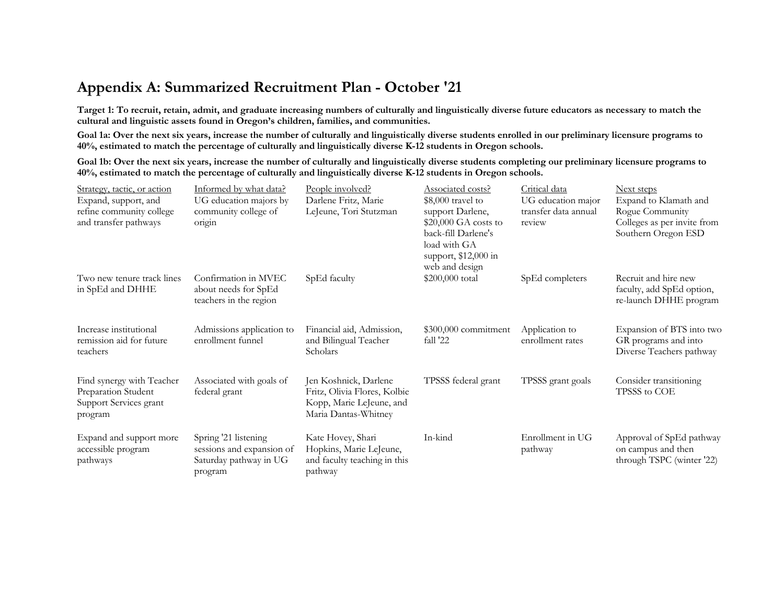# **Appendix A: Summarized Recruitment Plan - October '21**

**Target 1: To recruit, retain, admit, and graduate increasing numbers of culturally and linguistically diverse future educators as necessary to match the cultural and linguistic assets found in Oregon's children, families, and communities.**

**Goal 1a: Over the next six years, increase the number of culturally and linguistically diverse students enrolled in our preliminary licensure programs to 40%, estimated to match the percentage of culturally and linguistically diverse K-12 students in Oregon schools.**

**Goal 1b: Over the next six years, increase the number of culturally and linguistically diverse students completing our preliminary licensure programs to 40%, estimated to match the percentage of culturally and linguistically diverse K-12 students in Oregon schools.**

| Strategy, tactic, or action<br>Expand, support, and<br>refine community college<br>and transfer pathways | Informed by what data?<br>UG education majors by<br>community college of<br>origin     | People involved?<br>Darlene Fritz, Marie<br>LeJeune, Tori Stutzman                                        | Associated costs?<br>$$8,000$ travel to<br>support Darlene,<br>$$20,000$ GA costs to<br>back-fill Darlene's<br>load with GA<br>support, \$12,000 in<br>web and design | Critical data<br>UG education major<br>transfer data annual<br>review | Next steps<br>Expand to Klamath and<br>Rogue Community<br>Colleges as per invite from<br>Southern Oregon ESD |
|----------------------------------------------------------------------------------------------------------|----------------------------------------------------------------------------------------|-----------------------------------------------------------------------------------------------------------|-----------------------------------------------------------------------------------------------------------------------------------------------------------------------|-----------------------------------------------------------------------|--------------------------------------------------------------------------------------------------------------|
| Two new tenure track lines<br>in SpEd and DHHE                                                           | Confirmation in MVEC<br>about needs for SpEd<br>teachers in the region                 | SpEd faculty                                                                                              | \$200,000 total                                                                                                                                                       | SpEd completers                                                       | Recruit and hire new<br>faculty, add SpEd option,<br>re-launch DHHE program                                  |
| Increase institutional<br>remission aid for future<br>teachers                                           | Admissions application to<br>enrollment funnel                                         | Financial aid, Admission,<br>and Bilingual Teacher<br>Scholars                                            | \$300,000 commitment<br>fall '22                                                                                                                                      | Application to<br>enrollment rates                                    | Expansion of BTS into two<br>GR programs and into<br>Diverse Teachers pathway                                |
| Find synergy with Teacher<br>Preparation Student<br>Support Services grant<br>program                    | Associated with goals of<br>federal grant                                              | Jen Koshnick, Darlene<br>Fritz, Olivia Flores, Kolbie<br>Kopp, Marie LeJeune, and<br>Maria Dantas-Whitney | TPSSS federal grant                                                                                                                                                   | TPSSS grant goals                                                     | Consider transitioning<br>TPSSS to COE                                                                       |
| Expand and support more<br>accessible program<br>pathways                                                | Spring '21 listening<br>sessions and expansion of<br>Saturday pathway in UG<br>program | Kate Hovey, Shari<br>Hopkins, Marie LeJeune,<br>and faculty teaching in this<br>pathway                   | In-kind                                                                                                                                                               | Enrollment in UG<br>pathway                                           | Approval of SpEd pathway<br>on campus and then<br>through TSPC (winter '22)                                  |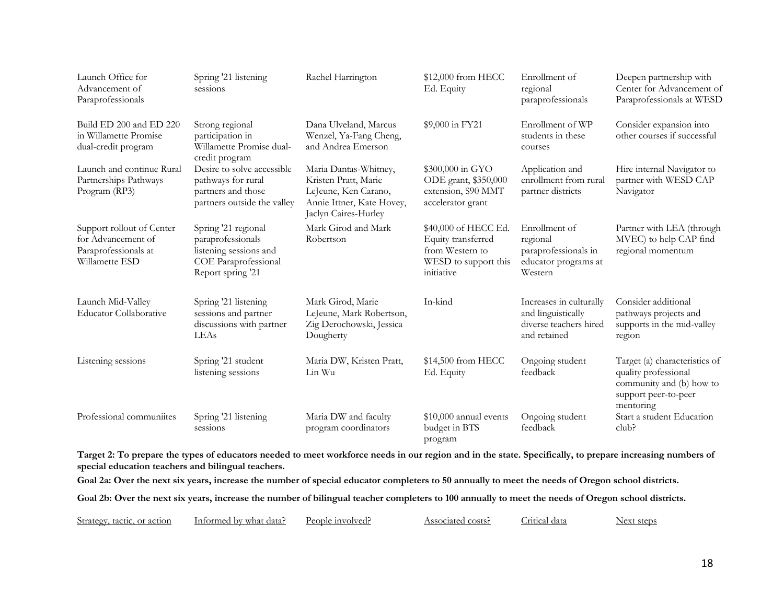| Launch Office for<br>Advancement of<br>Paraprofessionals                                  | Spring '21 listening<br>sessions                                                                                | Rachel Harrington                                                                                                          | \$12,000 from HECC<br>Ed. Equity                                                                    | Enrollment of<br>regional<br>paraprofessionals                                          | Deepen partnership with<br>Center for Advancement of<br>Paraprofessionals at WESD                                      |
|-------------------------------------------------------------------------------------------|-----------------------------------------------------------------------------------------------------------------|----------------------------------------------------------------------------------------------------------------------------|-----------------------------------------------------------------------------------------------------|-----------------------------------------------------------------------------------------|------------------------------------------------------------------------------------------------------------------------|
| Build ED 200 and ED 220<br>in Willamette Promise<br>dual-credit program                   | Strong regional<br>participation in<br>Willamette Promise dual-<br>credit program                               | Dana Ulveland, Marcus<br>Wenzel, Ya-Fang Cheng,<br>and Andrea Emerson                                                      | \$9,000 in FY21                                                                                     | Enrollment of WP<br>students in these<br>courses                                        | Consider expansion into<br>other courses if successful                                                                 |
| Launch and continue Rural<br>Partnerships Pathways<br>Program (RP3)                       | Desire to solve accessible<br>pathways for rural<br>partners and those<br>partners outside the valley           | Maria Dantas-Whitney,<br>Kristen Pratt, Marie<br>LeJeune, Ken Carano,<br>Annie Ittner, Kate Hovey,<br>Jaclyn Caires-Hurley | \$300,000 in GYO<br>ODE grant, \$350,000<br>extension, \$90 MMT<br>accelerator grant                | Application and<br>enrollment from rural<br>partner districts                           | Hire internal Navigator to<br>partner with WESD CAP<br>Navigator                                                       |
| Support rollout of Center<br>for Advancement of<br>Paraprofessionals at<br>Willamette ESD | Spring '21 regional<br>paraprofessionals<br>listening sessions and<br>COE Paraprofessional<br>Report spring '21 | Mark Girod and Mark<br>Robertson                                                                                           | \$40,000 of HECC Ed.<br>Equity transferred<br>from Western to<br>WESD to support this<br>initiative | Enrollment of<br>regional<br>paraprofessionals in<br>educator programs at<br>Western    | Partner with LEA (through<br>MVEC) to help CAP find<br>regional momentum                                               |
| Launch Mid-Valley<br><b>Educator Collaborative</b>                                        | Spring '21 listening<br>sessions and partner<br>discussions with partner<br>LEAs                                | Mark Girod, Marie<br>LeJeune, Mark Robertson,<br>Zig Derochowski, Jessica<br>Dougherty                                     | In-kind                                                                                             | Increases in culturally<br>and linguistically<br>diverse teachers hired<br>and retained | Consider additional<br>pathways projects and<br>supports in the mid-valley<br>region                                   |
| Listening sessions                                                                        | Spring '21 student<br>listening sessions                                                                        | Maria DW, Kristen Pratt,<br>Lin Wu                                                                                         | \$14,500 from HECC<br>Ed. Equity                                                                    | Ongoing student<br>feedback                                                             | Target (a) characteristics of<br>quality professional<br>community and (b) how to<br>support peer-to-peer<br>mentoring |
| Professional communiites                                                                  | Spring '21 listening<br>sessions                                                                                | Maria DW and faculty<br>program coordinators                                                                               | \$10,000 annual events<br>budget in BTS<br>program                                                  | Ongoing student<br>feedback                                                             | Start a student Education<br>club?                                                                                     |

**Target 2: To prepare the types of educators needed to meet workforce needs in our region and in the state. Specifically, to prepare increasing numbers of special education teachers and bilingual teachers.**

**Goal 2a: Over the next six years, increase the number of special educator completers to 50 annually to meet the needs of Oregon school districts.**

**Goal 2b: Over the next six years, increase the number of bilingual teacher completers to 100 annually to meet the needs of Oregon school districts.**

| Strategy<br>or action<br>tactic | ٦U<br>doto-<br><b></b><br>uata.<br>WHA: | $\overline{\phantom{a}}$<br>າກເ | эсіяі.<br>COSTS.<br>. | aata<br>. |  |
|---------------------------------|-----------------------------------------|---------------------------------|-----------------------|-----------|--|
|                                 |                                         |                                 |                       |           |  |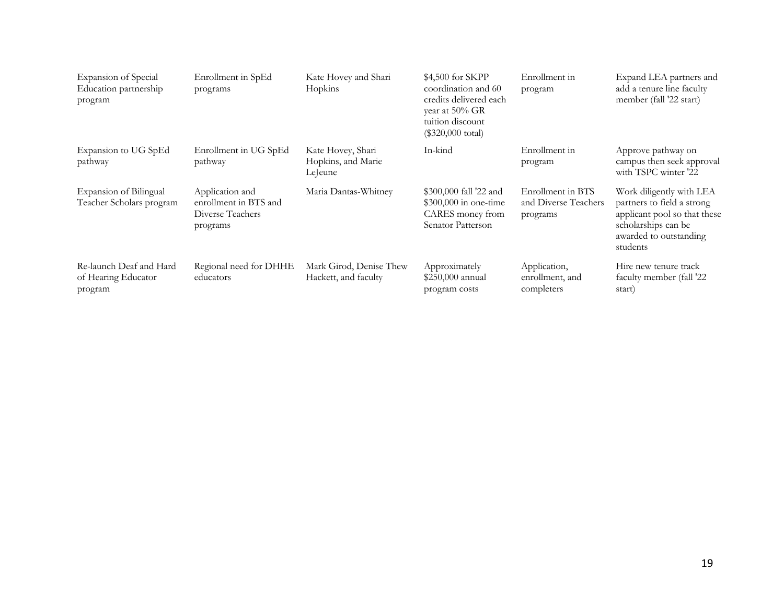| Expansion of Special<br>Education partnership<br>program  | Enrollment in SpEd<br>programs                                           | Kate Hovey and Shari<br>Hopkins                    | \$4,500 for SKPP<br>coordination and 60<br>credits delivered each<br>year at $50\%$ GR<br>tuition discount<br>$(\$320,000 \text{ total})$ | Enrollment in<br>program                              | Expand LEA partners and<br>add a tenure line faculty<br>member (fall '22 start)                                                                     |
|-----------------------------------------------------------|--------------------------------------------------------------------------|----------------------------------------------------|-------------------------------------------------------------------------------------------------------------------------------------------|-------------------------------------------------------|-----------------------------------------------------------------------------------------------------------------------------------------------------|
| Expansion to UG SpEd<br>pathway                           | Enrollment in UG SpEd<br>pathway                                         | Kate Hovey, Shari<br>Hopkins, and Marie<br>LeJeune | In-kind                                                                                                                                   | Enrollment in<br>program                              | Approve pathway on<br>campus then seek approval<br>with TSPC winter '22                                                                             |
| Expansion of Bilingual<br>Teacher Scholars program        | Application and<br>enrollment in BTS and<br>Diverse Teachers<br>programs | Maria Dantas-Whitney                               | \$300,000 fall '22 and<br>$$300,000$ in one-time<br>CARES money from<br>Senator Patterson                                                 | Enrollment in BTS<br>and Diverse Teachers<br>programs | Work diligently with LEA<br>partners to field a strong<br>applicant pool so that these<br>scholarships can be<br>awarded to outstanding<br>students |
| Re-launch Deaf and Hard<br>of Hearing Educator<br>program | Regional need for DHHE<br>educators                                      | Mark Girod, Denise Thew<br>Hackett, and faculty    | Approximately<br>\$250,000 annual<br>program costs                                                                                        | Application,<br>enrollment, and<br>completers         | Hire new tenure track<br>faculty member (fall '22<br>start)                                                                                         |